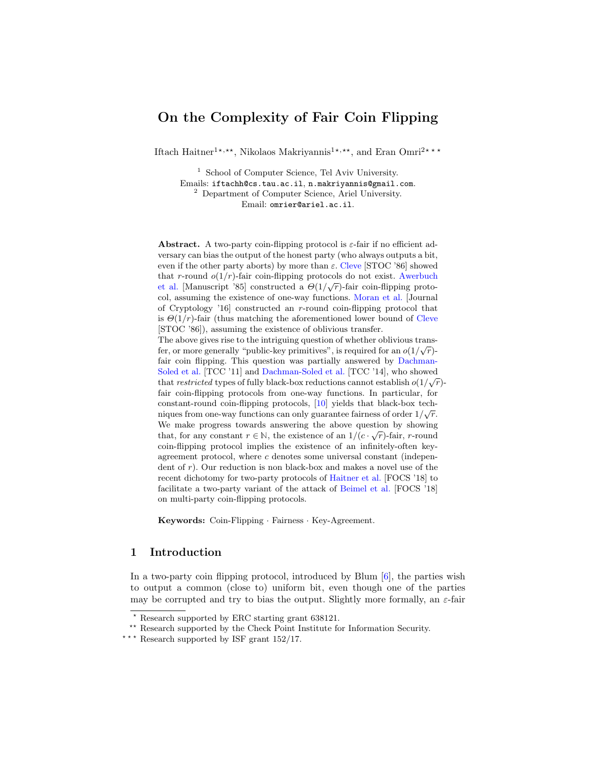## On the Complexity of Fair Coin Flipping

Iftach Haitner<sup>1\*,\*\*</sup>, Nikolaos Makriyannis<sup>1\*,\*\*</sup>, and Eran Omri<sup>2\*\*\*</sup>

<sup>1</sup> School of Computer Science, Tel Aviv University. Emails: iftachh@cs.tau.ac.il, n.makriyannis@gmail.com. <sup>2</sup> Department of Computer Science, Ariel University. Email: omrier@ariel.ac.il.

Abstract. A two-party coin-flipping protocol is  $\varepsilon$ -fair if no efficient adversary can bias the output of the honest party (who always outputs a bit, even if the other party aborts) by more than  $\varepsilon$ . [Cleve](#page-23-0) [STOC '86] showed that r-round  $o(1/r)$ -fair coin-flipping protocols do not exist. [Awerbuch](#page-23-1) [et al.](#page-23-1) [Manuscript '85] constructed a  $\Theta(1/\sqrt{r})$ -fair coin-flipping protocol, assuming the existence of one-way functions. [Moran et al.](#page-24-0) [Journal of Cryptology '16] constructed an r-round coin-flipping protocol that is  $\Theta(1/r)$ -fair (thus matching the aforementioned lower bound of [Cleve](#page-23-0) [STOC '86]), assuming the existence of oblivious transfer. The above gives rise to the intriguing question of whether oblivious transfer, or more generally "public-key primitives", is required for an  $o(1/\sqrt{r})$ fair coin flipping. This question was partially answered by [Dachman-](#page-23-2)[Soled et al.](#page-23-2)  $[TCC'11]$  and [Dachman-Soled et al.](#page-23-3)  $[TCC'14]$ , who showed that restricted types of fully black-box reductions cannot establish  $o(1/\sqrt{r})$ fair coin-flipping protocols from one-way functions. In particular, for constant-round coin-flipping protocols, [\[10\]](#page-23-2) yields that black-box techniques from one-way functions can only guarantee fairness of order  $1/\sqrt{r}$ . We make progress towards answering the above question by showing that, for any constant  $r \in \mathbb{N}$ , the existence of an  $1/(c \cdot \sqrt{r})$ -fair, r-round coin-flipping protocol implies the existence of an infinitely-often keyagreement protocol, where c denotes some universal constant (independent of  $r$ ). Our reduction is non black-box and makes a novel use of the recent dichotomy for two-party protocols of [Haitner et al.](#page-23-4) [FOCS '18] to facilitate a two-party variant of the attack of [Beimel et al.](#page-23-5) [FOCS '18] on multi-party coin-flipping protocols.

Keywords: Coin-Flipping · Fairness · Key-Agreement.

## 1 Introduction

In a two-party coin flipping protocol, introduced by Blum  $[6]$ , the parties wish to output a common (close to) uniform bit, even though one of the parties may be corrupted and try to bias the output. Slightly more formally, an  $\varepsilon$ -fair

<sup>?</sup> Research supported by ERC starting grant 638121.

<sup>\*\*</sup> Research supported by the Check Point Institute for Information Security.

<sup>\*\*\*</sup> Research supported by ISF grant  $152/17$ .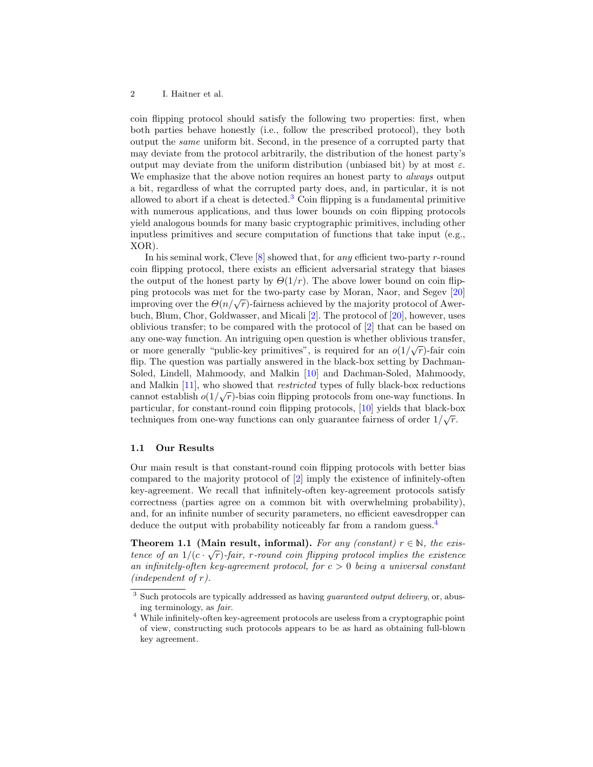coin flipping protocol should satisfy the following two properties: first, when both parties behave honestly (i.e., follow the prescribed protocol), they both output the same uniform bit. Second, in the presence of a corrupted party that may deviate from the protocol arbitrarily, the distribution of the honest party's output may deviate from the uniform distribution (unbiased bit) by at most  $\varepsilon$ . We emphasize that the above notion requires an honest party to *always* output a bit, regardless of what the corrupted party does, and, in particular, it is not allowed to abort if a cheat is detected.<sup>[3](#page-1-0)</sup> Coin flipping is a fundamental primitive with numerous applications, and thus lower bounds on coin flipping protocols yield analogous bounds for many basic cryptographic primitives, including other inputless primitives and secure computation of functions that take input (e.g., XOR).

In his seminal work, Cleve  $[8]$  showed that, for *any* efficient two-party r-round coin flipping protocol, there exists an efficient adversarial strategy that biases the output of the honest party by  $\Theta(1/r)$ . The above lower bound on coin flipping protocols was met for the two-party case by Moran, Naor, and Segev [\[20\]](#page-24-0)  $\mu$ <sub>13</sub> protocol was met for the two-party case by Moran, Naor, and Begev [20] improving over the  $\Theta(n/\sqrt{r})$ -fairness achieved by the majority protocol of Awerbuch, Blum, Chor, Goldwasser, and Micali [\[2\]](#page-23-1). The protocol of [\[20\]](#page-24-0), however, uses oblivious transfer; to be compared with the protocol of [\[2\]](#page-23-1) that can be based on any one-way function. An intriguing open question is whether oblivious transfer, or more generally "public-key primitives", is required for an  $o(1/\sqrt{r})$ -fair coin flip. The question was partially answered in the black-box setting by Dachman-Soled, Lindell, Mahmoody, and Malkin [\[10\]](#page-23-2) and Dachman-Soled, Mahmoody, and Malkin [\[11\]](#page-23-3), who showed that restricted types of fully black-box reductions and Markin [11], who showed that *restricted* types of funy black-box reductions cannot establish  $o(1/\sqrt{r})$ -bias coin flipping protocols from one-way functions. In particular, for constant-round coin flipping protocols, [\[10\]](#page-23-2) yields that black-box techniques from one-way functions can only guarantee fairness of order  $1/\sqrt{r}$ .

#### 1.1 Our Results

Our main result is that constant-round coin flipping protocols with better bias compared to the majority protocol of [\[2\]](#page-23-1) imply the existence of infinitely-often key-agreement. We recall that infinitely-often key-agreement protocols satisfy correctness (parties agree on a common bit with overwhelming probability), and, for an infinite number of security parameters, no efficient eavesdropper can deduce the output with probability noticeably far from a random guess.<sup>[4](#page-1-1)</sup>

Theorem 1.1 (Main result, informal). For any (constant)  $r \in \mathbb{N}$ , the existence of an  $1/(c \cdot \sqrt{r})$ -fair, r-round coin flipping protocol implies the existence an infinitely-often key-agreement protocol, for  $c > 0$  being a universal constant  $(independent\ of\ r).$ 

<span id="page-1-0"></span> $3$  Such protocols are typically addressed as having *guaranteed output delivery*, or, abusing terminology, as fair.

<span id="page-1-1"></span><sup>4</sup> While infinitely-often key-agreement protocols are useless from a cryptographic point of view, constructing such protocols appears to be as hard as obtaining full-blown key agreement.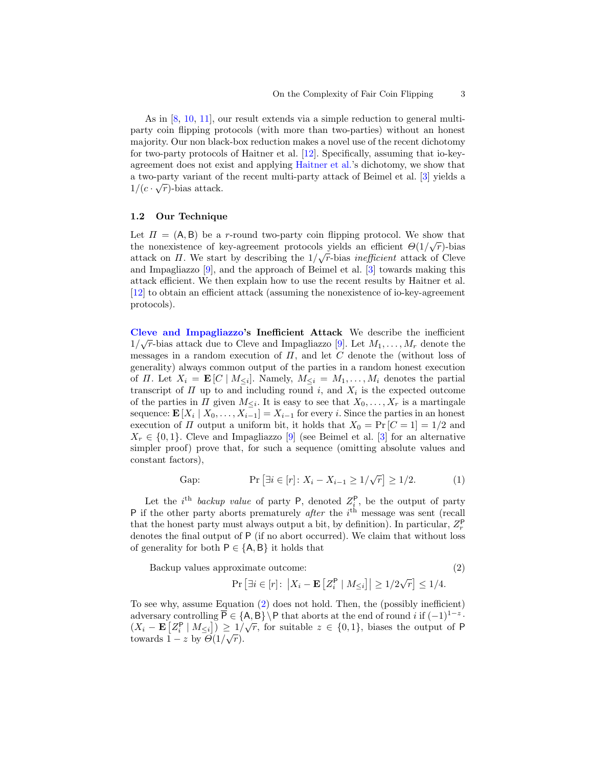As in [\[8,](#page-23-0) [10,](#page-23-2) [11\]](#page-23-3), our result extends via a simple reduction to general multiparty coin flipping protocols (with more than two-parties) without an honest majority. Our non black-box reduction makes a novel use of the recent dichotomy for two-party protocols of Haitner et al. [\[12\]](#page-23-4). Specifically, assuming that io-keyagreement does not exist and applying [Haitner et al.'](#page-23-4)s dichotomy, we show that a two-party variant of the recent multi-party attack of Beimel et al. [\[3\]](#page-23-5) yields a  $1/(c \cdot \sqrt{r})$ -bias attack.

#### 1.2 Our Technique

Let  $\Pi = (A, B)$  be a r-round two-party coin flipping protocol. We show that the nonexistence of key-agreement protocols yields an efficient  $\Theta(1/\sqrt{r})$ -bias attack on  $\Pi$ . We start by describing the  $1/\sqrt{r}$ -bias *inefficient* attack of Cleve and Impagliazzo [\[9\]](#page-23-7), and the approach of Beimel et al. [\[3\]](#page-23-5) towards making this attack efficient. We then explain how to use the recent results by Haitner et al. [\[12\]](#page-23-4) to obtain an efficient attack (assuming the nonexistence of io-key-agreement protocols).

<span id="page-2-1"></span>[Cleve and Impagliazzo'](#page-23-7)s Inefficient Attack We describe the inefficient  $\frac{1}{2}$  $1/\sqrt{r}$ -bias attack due to Cleve and Impagliazzo [\[9\]](#page-23-7). Let  $M_1, \ldots, M_r$  denote the messages in a random execution of  $\Pi$ , and let  $C$  denote the (without loss of generality) always common output of the parties in a random honest execution of *II*. Let  $X_i = \mathbf{E}[C \mid M_{\leq i}]$ . Namely,  $M_{\leq i} = M_1, \ldots, M_i$  denotes the partial transcript of  $\Pi$  up to and including round i, and  $X_i$  is the expected outcome of the parties in  $\Pi$  given  $M_{\leq i}$ . It is easy to see that  $X_0, \ldots, X_r$  is a martingale sequence:  $\mathbf{E}[X_i | X_0, \ldots, X_{i-1}] = X_{i-1}$  for every i. Since the parties in an honest execution of  $\Pi$  output a uniform bit, it holds that  $X_0 = \Pr [C = 1] = 1/2$  and  $X_r \in \{0,1\}$ . Cleve and Impagliazzo [\[9\]](#page-23-7) (see Beimel et al. [\[3\]](#page-23-5) for an alternative simpler proof) prove that, for such a sequence (omitting absolute values and constant factors),

Gap: 
$$
\Pr[\exists i \in [r]: X_i - X_{i-1} \ge 1/\sqrt{r}] \ge 1/2.
$$
 (1)

Let the *i*<sup>th</sup> backup value of party P, denoted  $Z_i^{\mathsf{P}}$ , be the output of party P if the other party aborts prematurely *after* the  $i<sup>th</sup>$  message was sent (recall that the honest party must always output a bit, by definition). In particular,  $Z_r^{\mathsf{P}}$ denotes the final output of P (if no abort occurred). We claim that without loss of generality for both  $P \in \{A, B\}$  it holds that

Backup values approximate outcome:

<span id="page-2-0"></span>
$$
^{(2)}
$$

$$
\Pr\left[\exists i \in [r]: \ \left|X_i - \mathbf{E}\left[Z_i^{\mathsf{P}} \mid M_{\leq i}\right]\right| \geq 1/2\sqrt{r}\right] \leq 1/4.
$$

To see why, assume Equation [\(2\)](#page-2-0) does not hold. Then, the (possibly inefficient) adversary controlling  $\overline{P} \in \{A, B\} \backslash P$  that aborts at the end of round i if  $(-1)^{1-z}$ .  $(X_i - \mathbf{E}[Z_i^{\mathsf{P}} | M_{\leq i}]) \geq 1/\sqrt{r}$ , for suitable  $z \in \{0,1\}$ , biases the output of P towards  $1-z$  by  $\Theta(1/\sqrt{r})$ .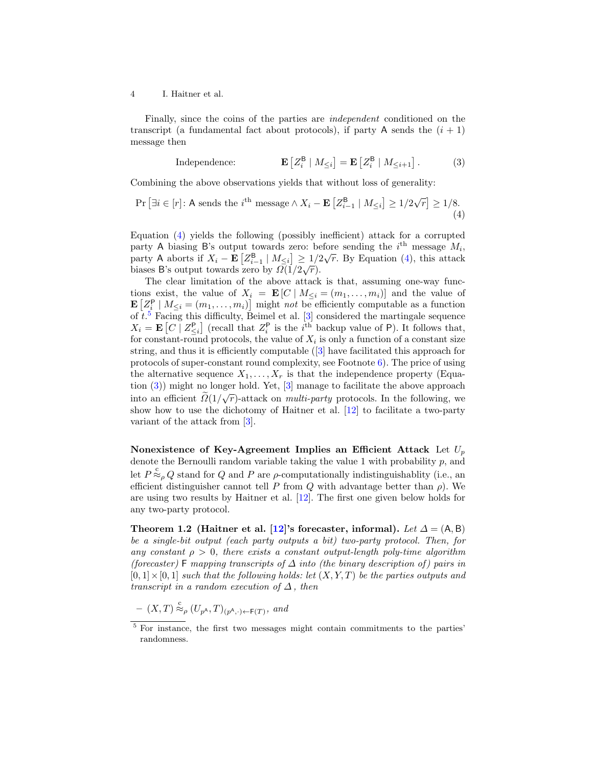Finally, since the coins of the parties are independent conditioned on the transcript (a fundamental fact about protocols), if party A sends the  $(i + 1)$ message then

<span id="page-3-2"></span><span id="page-3-0"></span>Independence: 
$$
\mathbf{E}\left[Z_i^{\mathsf{B}} \mid M_{\leq i}\right] = \mathbf{E}\left[Z_i^{\mathsf{B}} \mid M_{\leq i+1}\right].
$$
 (3)

Combining the above observations yields that without loss of generality:

$$
\Pr\left[\exists i \in [r] : \text{A sends the } i^{\text{th}} \text{ message} \land X_i - \mathbf{E}\left[Z_{i-1}^{\text{B}} \mid M_{\leq i}\right] \geq 1/2\sqrt{r}\right] \geq 1/8. \tag{4}
$$

Equation [\(4\)](#page-3-0) yields the following (possibly inefficient) attack for a corrupted party A biasing B's output towards zero: before sending the  $i^{\text{th}}$  message  $M_i$ , party A aborts if  $X_i - \mathbf{E}\left[Z_{i-1}^{\mathsf{B}} \mid M_{\leq i}\right] \geq 1/2\sqrt{r}$ . By Equation [\(4\)](#page-3-0), this attack biases B's output towards zero by  $\Omega(1/2\sqrt{r}).$ 

The clear limitation of the above attack is that, assuming one-way functions exist, the value of  $X_i = \mathbf{E}[C | M_{\leq i} = (m_1, \ldots, m_i)]$  and the value of  $\mathbf{E}\left[Z_i^{\mathsf{P}} \mid M_{\leq i} = (m_1, \ldots, m_i)\right]$  might not be efficiently computable as a function of  $t<sup>5</sup>$  $t<sup>5</sup>$  $t<sup>5</sup>$  Facing this difficulty, Beimel et al. [\[3\]](#page-23-5) considered the martingale sequence  $X_i = \mathbf{E}\left[C \mid Z_{\leq i}^{\mathsf{P}}\right]$  (recall that  $Z_i^{\mathsf{P}}$  is the *i*<sup>th</sup> backup value of P). It follows that, for constant-round protocols, the value of  $X_i$  is only a function of a constant size string, and thus it is efficiently computable ([\[3\]](#page-23-5) have facilitated this approach for protocols of super-constant round complexity, see Footnote [6\)](#page-4-0). The price of using the alternative sequence  $X_1, \ldots, X_r$  is that the independence property (Equation [\(3\)](#page-3-2)) might no longer hold. Yet, [\[3\]](#page-23-5) manage to facilitate the above approach into an efficient  $\widetilde{\Omega}(1/\sqrt{r})$ -attack on *multi-party* protocols. In the following, we show how to use the dichotomy of Haitner et al. [\[12\]](#page-23-4) to facilitate a two-party variant of the attack from [\[3\]](#page-23-5).

Nonexistence of Key-Agreement Implies an Efficient Attack Let  $U_p$ denote the Bernoulli random variable taking the value 1 with probability  $p$ , and let  $P \overset{c}{\approx}_\rho Q$  stand for Q and P are  $\rho$ -computationally indistinguishablity (i.e., an efficient distinguisher cannot tell P from Q with advantage better than  $\rho$ ). We are using two results by Haitner et al. [\[12\]](#page-23-4). The first one given below holds for any two-party protocol.

<span id="page-3-3"></span>Theorem 1.2 (Haitner et al. [\[12\]](#page-23-4)'s forecaster, informal). Let  $\Delta = (A, B)$ be a single-bit output (each party outputs a bit) two-party protocol. Then, for any constant  $\rho > 0$ , there exists a constant output-length poly-time algorithm (forecaster) F mapping transcripts of  $\Delta$  into (the binary description of) pairs in  $[0, 1] \times [0, 1]$  such that the following holds: let  $(X, Y, T)$  be the parties outputs and transcript in a random execution of  $\Delta$ , then

 $(X,T) \stackrel{c}{\approx}{}_{\rho} (U_{p^{\mathsf{A}}},T)_{(p^{\mathsf{A}},\cdot) \leftarrow \mathsf{F}(T)},$  and

<span id="page-3-1"></span><sup>&</sup>lt;sup>5</sup> For instance, the first two messages might contain commitments to the parties' randomness.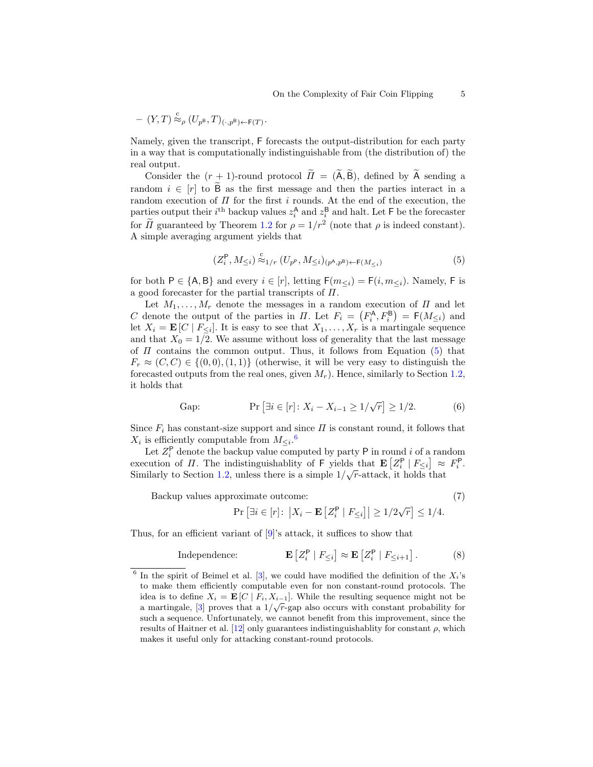$$
- (Y,T) \stackrel{\mathsf{c}}{\approx}_{\rho} (U_{p^{\mathsf{B}}},T)_{(\cdot,p^{\mathsf{B}})\leftarrow \mathsf{F}(T)}.
$$

Namely, given the transcript, F forecasts the output-distribution for each party in a way that is computationally indistinguishable from (the distribution of) the real output.

Consider the  $(r + 1)$ -round protocol  $\widetilde{\Pi} = (\widetilde{A}, \widetilde{B})$ , defined by  $\widetilde{A}$  sending a random  $i \in [r]$  to  $\tilde{B}$  as the first message and then the parties interact in a random execution of  $\Pi$  for the first i rounds. At the end of the execution, the parties output their  $i^{\text{th}}$  backup values  $z_i^{\text{A}}$  and  $z_i^{\text{B}}$  and halt. Let F be the forecaster for  $\tilde{\Pi}$  guaranteed by Theorem [1.2](#page-3-3) for  $\rho = 1/r^2$  (note that  $\rho$  is indeed constant). A simple averaging argument yields that

<span id="page-4-1"></span>
$$
(Z_i^{\mathsf{P}}, M_{\leq i}) \stackrel{\mathsf{c}}{\approx} {}_{1/r} (U_{p^{\mathsf{P}}}, M_{\leq i})_{(p^{\mathsf{A}}, p^{\mathsf{B}})\leftarrow \mathsf{F}(M_{\leq i})} \tag{5}
$$

for both  $P \in \{A, B\}$  and every  $i \in [r]$ , letting  $F(m_{\leq i}) = F(i, m_{\leq i})$ . Namely, F is a good forecaster for the partial transcripts of  $\Pi$ .

Let  $M_1, \ldots, M_r$  denote the messages in a random execution of  $\Pi$  and let C denote the output of the parties in  $\Pi$ . Let  $F_i = (F_i^{\mathsf{A}}, F_i^{\mathsf{B}}) = \mathsf{F}(M_{\leq i})$  and let  $X_i = \mathbf{E}[C \mid F_{\leq i}]$ . It is easy to see that  $X_1, \ldots, X_r$  is a martingale sequence and that  $X_0 = 1/2$ . We assume without loss of generality that the last message of  $\Pi$  contains the common output. Thus, it follows from Equation [\(5\)](#page-4-1) that  $F_r \approx (C, C) \in \{(0, 0), (1, 1)\}\$  (otherwise, it will be very easy to distinguish the forecasted outputs from the real ones, given  $M_r$ ). Hence, similarly to Section [1.2,](#page-2-1) it holds that

Gap: 
$$
\Pr[\exists i \in [r]: X_i - X_{i-1} \ge 1/\sqrt{r}] \ge 1/2.
$$
 (6)

Since  $F_i$  has constant-size support and since  $\Pi$  is constant round, it follows that  $X_i$  is efficiently computable from  $M_{\leq i}$ .<sup>[6](#page-4-0)</sup>

Let  $Z_i^{\mathsf{P}}$  denote the backup value computed by party  $\mathsf{P}$  in round i of a random execution of  $\Pi$ . The indistinguishablity of F yields that  $\mathbf{E}\left[Z_i^{\mathsf{P}} \mid F_{\leq i}\right] \approx F_i^{\mathsf{P}}$ . Similarly to Section [1.2,](#page-2-1) unless there is a simple  $1/\sqrt{r}$ -attack, it holds that

Backup values approximate outcome: (7)

<span id="page-4-2"></span>

$$
\Pr\left[\exists i \in [r] \colon \left| X_i - \mathbf{E} \left[ Z_i^{\mathsf{P}} \mid F_{\leq i} \right] \right| \geq 1/2\sqrt{r} \right] \leq 1/4.
$$

Thus, for an efficient variant of [\[9\]](#page-23-7)'s attack, it suffices to show that

$$
\text{Independence:} \qquad \qquad \mathbf{E}\left[Z_i^{\mathsf{P}} \mid F_{\leq i}\right] \approx \mathbf{E}\left[Z_i^{\mathsf{P}} \mid F_{\leq i+1}\right].\tag{8}
$$

<span id="page-4-0"></span><sup>&</sup>lt;sup>6</sup> In the spirit of Beimel et al. [\[3\]](#page-23-5), we could have modified the definition of the  $X_i$ 's to make them efficiently computable even for non constant-round protocols. The idea is to define  $X_i = \mathbf{E}[C \mid F_i, X_{i-1}]$ . While the resulting sequence might not be a martingale, [\[3\]](#page-23-5) proves that a  $1/\sqrt{r}$ -gap also occurs with constant probability for such a sequence. Unfortunately, we cannot benefit from this improvement, since the results of Haitner et al. [\[12\]](#page-23-4) only guarantees indistinguishablity for constant  $\rho$ , which makes it useful only for attacking constant-round protocols.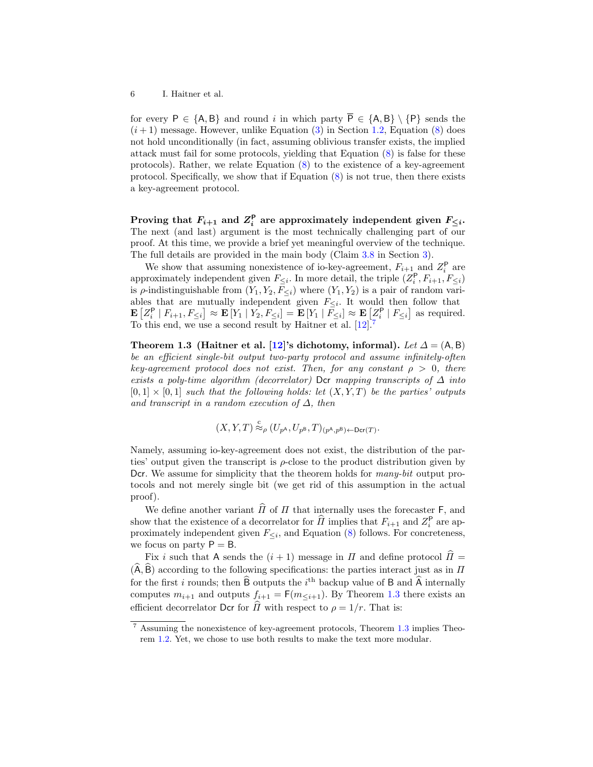for every P  $\in \{A, B\}$  and round i in which party  $\overline{P} \in \{A, B\} \setminus \{P\}$  sends the  $(i+1)$  message. However, unlike Equation [\(3\)](#page-3-2) in Section [1.2,](#page-2-1) Equation [\(8\)](#page-4-2) does not hold unconditionally (in fact, assuming oblivious transfer exists, the implied attack must fail for some protocols, yielding that Equation [\(8\)](#page-4-2) is false for these protocols). Rather, we relate Equation [\(8\)](#page-4-2) to the existence of a key-agreement protocol. Specifically, we show that if Equation  $(8)$  is not true, then there exists a key-agreement protocol.

Proving that  $F_{i+1}$  and  $Z_i^{\mathsf{P}}$  are approximately independent given  $F_{\leq i}$ . The next (and last) argument is the most technically challenging part of our proof. At this time, we provide a brief yet meaningful overview of the technique. The full details are provided in the main body (Claim [3.8](#page-13-0) in Section [3\)](#page-9-0).

We show that assuming nonexistence of io-key-agreement,  $F_{i+1}$  and  $Z_i^{\mathsf{P}}$  are approximately independent given  $F_{\leq i}$ . In more detail, the triple  $(Z_i^{\mathsf{P}}, F_{i+1}, F_{\leq i})$ is  $\rho$ -indistinguishable from  $(Y_1, Y_2, \overline{F}_{\leq i})$  where  $(Y_1, Y_2)$  is a pair of random variables that are mutually independent given  $F_{\leq i}$ . It would then follow that  $\mathbf{E}\left[Z_i^{\mathsf{P}} \mid F_{i+1}, F_{\leq i}\right] \approx \mathbf{E}\left[Y_1 \mid Y_2, F_{\leq i}\right] = \mathbf{E}\left[Y_1 \mid \bar{F}_{\leq i}\right] \approx \mathbf{E}\left[Z_i^{\mathsf{P}} \mid F_{\leq i}\right]$  as required. To this end, we use a second result by Haitner et al.  $[12]$ <sup>[7](#page-5-0)</sup>

Theorem 1.3 (Haitner et al. [\[12\]](#page-23-4)'s dichotomy, informal). Let  $\Delta = (A, B)$ be an efficient single-bit output two-party protocol and assume infinitely-often key-agreement protocol does not exist. Then, for any constant  $\rho > 0$ , there exists a poly-time algorithm (decorrelator) Dcr mapping transcripts of  $\Delta$  into  $[0,1] \times [0,1]$  such that the following holds: let  $(X, Y, T)$  be the parties' outputs and transcript in a random execution of  $\Delta$ , then

<span id="page-5-1"></span>
$$
(X,Y,T) \stackrel{\text{c}}{\approx}_{\rho} (U_{p^{\mathsf{A}}},U_{p^{\mathsf{B}}},T)_{(p^{\mathsf{A}},p^{\mathsf{B}})\leftarrow \mathsf{Der}(T)}.
$$

Namely, assuming io-key-agreement does not exist, the distribution of the parties' output given the transcript is  $\rho$ -close to the product distribution given by Dcr. We assume for simplicity that the theorem holds for *many-bit* output protocols and not merely single bit (we get rid of this assumption in the actual proof).

We define another variant  $\widehat{\Pi}$  of  $\Pi$  that internally uses the forecaster F, and show that the existence of a decorrelator for  $\widehat{H}$  implies that  $F_{i+1}$  and  $Z_i^{\mathsf{P}}$  are approximately independent given  $F_{\leq i}$ , and Equation [\(8\)](#page-4-2) follows. For concreteness, we focus on party  $P = B$ .

Fix i such that A sends the  $(i + 1)$  message in  $\Pi$  and define protocol  $\widehat{\Pi} =$  $(\widehat{A}, \widehat{B})$  according to the following specifications: the parties interact just as in  $\Pi$ for the first i rounds; then  $\hat{B}$  outputs the i<sup>th</sup> backup value of  $B$  and  $\hat{A}$  internally computes  $m_{i+1}$  and outputs  $f_{i+1} = F(m_{\leq i+1})$ . By Theorem [1.3](#page-5-1) there exists an efficient decorrelator Dcr for  $\widehat{II}$  with respect to  $\rho = 1/r$ . That is:

<span id="page-5-0"></span><sup>7</sup> Assuming the nonexistence of key-agreement protocols, Theorem [1.3](#page-5-1) implies Theorem [1.2.](#page-3-3) Yet, we chose to use both results to make the text more modular.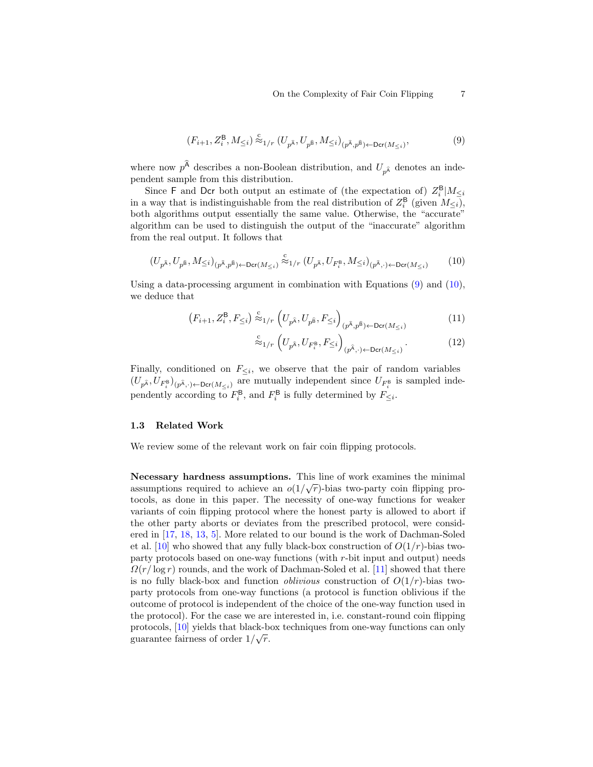<span id="page-6-0"></span>
$$
(F_{i+1}, Z_i^{\mathsf{B}}, M_{\leq i}) \stackrel{\mathsf{c}}{\approx} {}_{1/r} (U_{p^{\widehat{\mathsf{A}}}}, U_{p^{\widehat{\mathsf{B}}}}, M_{\leq i})_{(p^{\widehat{\mathsf{A}}}, p^{\widehat{\mathsf{B}}}) \leftarrow \mathsf{Der}(M_{\leq i})},\tag{9}
$$

where now  $p^{\mathsf{A}}$  describes a non-Boolean distribution, and  $U_{p^{\hat{\mathsf{A}}}}$  denotes an independent sample from this distribution.

Since F and Dcr both output an estimate of (the expectation of)  $Z_i^{\mathsf{B}}|M_{\leq i}$ in a way that is indistinguishable from the real distribution of  $Z_i^{\mathsf{B}}$  (given  $M_{\leq i}$ ), both algorithms output essentially the same value. Otherwise, the "accurate" algorithm can be used to distinguish the output of the "inaccurate" algorithm from the real output. It follows that

$$
(U_{p^{\widehat{\mathbf{A}}}},U_{p^{\widehat{\mathbf{B}}}},M_{\leq i})_{(p^{\widehat{\mathbf{A}}},p^{\widehat{\mathbf{B}}})\leftarrow \mathrm{Der}(M_{\leq i})} \stackrel{\mathrm{c}}{\approx}{}_{1/r} (U_{p^{\widehat{\mathbf{A}}}},U_{F_i^{\mathbf{B}}},M_{\leq i})_{(p^{\widehat{\mathbf{A}}},\cdot)\leftarrow \mathrm{Der}(M_{\leq i})} \qquad (10)
$$

Using a data-processing argument in combination with Equations  $(9)$  and  $(10)$ , we deduce that

$$
\left(F_{i+1}, Z_i^{\mathsf{B}}, F_{\leq i}\right) \stackrel{\mathsf{c}}{\approx} {}_{1/r} \left(U_{p^{\widehat{\mathsf{A}}}}, U_{p^{\widehat{\mathsf{B}}}}, F_{\leq i}\right)_{(p^{\widehat{\mathsf{A}}}, p^{\widehat{\mathsf{B}}}) \leftarrow \mathsf{Der}(M_{\leq i})} \tag{11}
$$

<span id="page-6-1"></span>
$$
\stackrel{\text{c}}{\approx}_{1/r} \left( U_{p^{\widehat{\mathbf{A}}}}, U_{F_i^{\mathbf{B}}}, F_{\leq i} \right)_{(p^{\widehat{\mathbf{A}}}, \cdot) \leftarrow \text{Der}(M_{\leq i})}.
$$
 (12)

Finally, conditioned on  $F_{\leq i}$ , we observe that the pair of random variables  $(U_{p^{\hat{\mathbf{A}}}}, U_{F_i^{\mathbf{B}}})_{(p^{\hat{\mathbf{A}}}, \cdot) \leftarrow \text{Der}(M_{\leq i})}$  are mutually independent since  $U_{F_i^{\mathbf{B}}}$  is sampled independently according to  $F_i^{\mathsf{B}}$ , and  $F_i^{\mathsf{B}}$  is fully determined by  $F_{\leq i}$ .

#### 1.3 Related Work

We review some of the relevant work on fair coin flipping protocols.

Necessary hardness assumptions. This line of work examines the minimal assumptions required to achieve an  $o(1/\sqrt{r})$ -bias two-party coin flipping protocols, as done in this paper. The necessity of one-way functions for weaker variants of coin flipping protocol where the honest party is allowed to abort if the other party aborts or deviates from the prescribed protocol, were considered in [\[17,](#page-24-1) [18,](#page-24-2) [13,](#page-23-8) [5\]](#page-23-9). More related to our bound is the work of Dachman-Soled et al. [\[10\]](#page-23-2) who showed that any fully black-box construction of  $O(1/r)$ -bias twoparty protocols based on one-way functions (with r-bit input and output) needs  $\Omega(r/\log r)$  rounds, and the work of Dachman-Soled et al. [\[11\]](#page-23-3) showed that there is no fully black-box and function *oblivious* construction of  $O(1/r)$ -bias twoparty protocols from one-way functions (a protocol is function oblivious if the outcome of protocol is independent of the choice of the one-way function used in the protocol). For the case we are interested in, i.e. constant-round coin flipping protocols,  $[10]$  yields that black-box techniques from one-way functions can only guarantee fairness of order  $1/\sqrt{r}$ .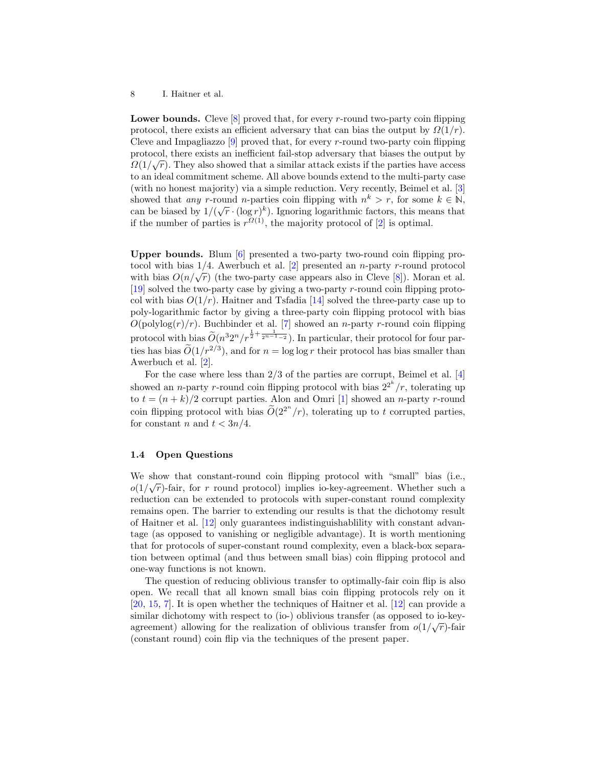**Lower bounds.** Cleve  $[8]$  proved that, for every r-round two-party coin flipping protocol, there exists an efficient adversary that can bias the output by  $\Omega(1/r)$ . Cleve and Impagliazzo  $[9]$  proved that, for every r-round two-party coin flipping protocol, there exists an inefficient fail-stop adversary that biases the output by  $\hat{O}(1/\sqrt{N})$ .  $\Omega(1/\sqrt{r})$ . They also showed that a similar attack exists if the parties have access to an ideal commitment scheme. All above bounds extend to the multi-party case (with no honest majority) via a simple reduction. Very recently, Beimel et al. [\[3\]](#page-23-5) showed that any r-round n-parties coin flipping with  $n^k > r$ , for some  $k \in \mathbb{N}$ , showed that *any* r-found *n*-parties coin inpping with  $n > r$ , for some  $\kappa \in \mathbb{N}$ ,<br>can be biased by  $1/(\sqrt{r} \cdot (\log r)^k)$ . Ignoring logarithmic factors, this means that if the number of parties is  $r^{Q(1)}$ , the majority protocol of [\[2\]](#page-23-1) is optimal.

Upper bounds. Blum [\[6\]](#page-23-6) presented a two-party two-round coin flipping protocol with bias  $1/4$ . Awerbuch et al. [\[2\]](#page-23-1) presented an *n*-party *r*-round protocol tocor with bias  $1/4$ . Awerbuch et al. [2] presented an *n*-party *r*-found protocord with bias  $O(n/\sqrt{r})$  (the two-party case appears also in Cleve [\[8\]](#page-23-0)). Moran et al. [\[19\]](#page-24-3) solved the two-party case by giving a two-party r-round coin flipping protocol with bias  $O(1/r)$ . Haitner and Tsfadia [\[14\]](#page-23-10) solved the three-party case up to poly-logarithmic factor by giving a three-party coin flipping protocol with bias  $O(polylog(r)/r)$ . Buchbinder et al. [\[7\]](#page-23-11) showed an *n*-party *r*-round coin flipping protocol with bias  $\widetilde{O}(n^3 2^n / r^{\frac{1}{2} + \frac{1}{2^{n-1}-2}})$ . In particular, their protocol for four parties has bias  $\tilde{O}(1/r^{2/3})$ , and for  $n = \log \log r$  their protocol has bias smaller than Awerbuch et al. [\[2\]](#page-23-1).

For the case where less than 2/3 of the parties are corrupt, Beimel et al. [\[4\]](#page-23-12) showed an *n*-party *r*-round coin flipping protocol with bias  $2^{2^k}/r$ , tolerating up to  $t = (n + k)/2$  corrupt parties. Alon and Omri [\[1\]](#page-23-13) showed an *n*-party *r*-round coin flipping protocol with bias  $\tilde{O}(2^{2^n}/r)$ , tolerating up to t corrupted parties, for constant n and  $t < 3n/4$ .

#### 1.4 Open Questions

We show that constant-round coin flipping protocol with "small" bias (i.e.,  $(1/\sqrt{2})$  $o(1/\sqrt{r})$ -fair, for r round protocol) implies io-key-agreement. Whether such a reduction can be extended to protocols with super-constant round complexity remains open. The barrier to extending our results is that the dichotomy result of Haitner et al. [\[12\]](#page-23-4) only guarantees indistinguishablility with constant advantage (as opposed to vanishing or negligible advantage). It is worth mentioning that for protocols of super-constant round complexity, even a black-box separation between optimal (and thus between small bias) coin flipping protocol and one-way functions is not known.

The question of reducing oblivious transfer to optimally-fair coin flip is also open. We recall that all known small bias coin flipping protocols rely on it [\[20,](#page-24-0) [15,](#page-24-4) [7\]](#page-23-11). It is open whether the techniques of Haitner et al. [\[12\]](#page-23-4) can provide a similar dichotomy with respect to (io-) oblivious transfer (as opposed to io-keyagreement) allowing for the realization of oblivious transfer from  $o(1/\sqrt{r})$ -fair (constant round) coin flip via the techniques of the present paper.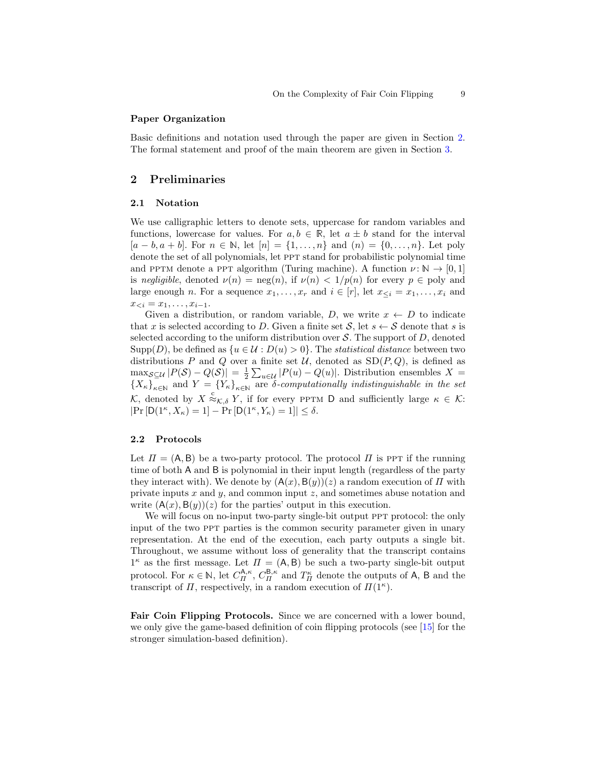### Paper Organization

Basic definitions and notation used through the paper are given in Section [2.](#page-8-0) The formal statement and proof of the main theorem are given in Section [3.](#page-9-0)

## <span id="page-8-0"></span>2 Preliminaries

#### 2.1 Notation

We use calligraphic letters to denote sets, uppercase for random variables and functions, lowercase for values. For  $a, b \in \mathbb{R}$ , let  $a \pm b$  stand for the interval  $[a - b, a + b]$ . For  $n \in \mathbb{N}$ , let  $[n] = \{1, ..., n\}$  and  $(n) = \{0, ..., n\}$ . Let poly denote the set of all polynomials, let ppt stand for probabilistic polynomial time and PPTM denote a PPT algorithm (Turing machine). A function  $\nu : \mathbb{N} \to [0,1]$ is negligible, denoted  $\nu(n) = \text{neg}(n)$ , if  $\nu(n) < 1/p(n)$  for every  $p \in \text{poly}$  and large enough n. For a sequence  $x_1, \ldots, x_r$  and  $i \in [r]$ , let  $x_{\leq i} = x_1, \ldots, x_i$  and  $x_{< i} = x_1, \ldots, x_{i-1}.$ 

Given a distribution, or random variable, D, we write  $x \leftarrow D$  to indicate that x is selected according to D. Given a finite set  $S$ , let  $s \leftarrow S$  denote that s is selected according to the uniform distribution over  $S$ . The support of  $D$ , denoted Supp $(D)$ , be defined as  $\{u \in \mathcal{U} : D(u) > 0\}$ . The *statistical distance* between two distributions P and Q over a finite set U, denoted as  $SD(P, Q)$ , is defined as  $\max_{\mathcal{S}\subseteq\mathcal{U}}|P(\mathcal{S})-Q(\mathcal{S})|=\frac{1}{2}\sum_{u\in\mathcal{U}}|P(u)-Q(u)|.$  Distribution ensembles X =  ${X_{\kappa}}_{\kappa\in\mathbb{N}}$  and  $Y = {Y_{\kappa}}_{\kappa\in\mathbb{N}}$  are  $\delta$ -computationally indistinguishable in the set K, denoted by  $X \stackrel{c}{\approx}_{\mathcal{K},\delta} Y$ , if for every PPTM D and sufficiently large  $\kappa \in \mathcal{K}$ :  $|\Pr[D(1^{\kappa}, X_{\kappa}) = 1] - \Pr[D(1^{\kappa}, Y_{\kappa}) = 1]| \leq \delta.$ 

#### 2.2 Protocols

Let  $\Pi = (A, B)$  be a two-party protocol. The protocol  $\Pi$  is PPT if the running time of both A and B is polynomial in their input length (regardless of the party they interact with). We denote by  $(A(x), B(y))(z)$  a random execution of  $\Pi$  with private inputs x and  $y$ , and common input z, and sometimes abuse notation and write  $(A(x), B(y))(z)$  for the parties' output in this execution.

We will focus on no-input two-party single-bit output PPT protocol: the only input of the two ppt parties is the common security parameter given in unary representation. At the end of the execution, each party outputs a single bit. Throughout, we assume without loss of generality that the transcript contains  $1^{\kappa}$  as the first message. Let  $\Pi = (A, B)$  be such a two-party single-bit output protocol. For  $\kappa \in \mathbb{N}$ , let  $C_{\Pi}^{\mathsf{A},\kappa}$ ,  $C_{\Pi}^{\mathsf{B},\kappa}$  and  $T_{\Pi}^{\kappa}$  denote the outputs of A, B and the transcript of  $\Pi$ , respectively, in a random execution of  $\Pi(1^{\kappa})$ .

<span id="page-8-1"></span>Fair Coin Flipping Protocols. Since we are concerned with a lower bound, we only give the game-based definition of coin flipping protocols (see [\[15\]](#page-24-4) for the stronger simulation-based definition).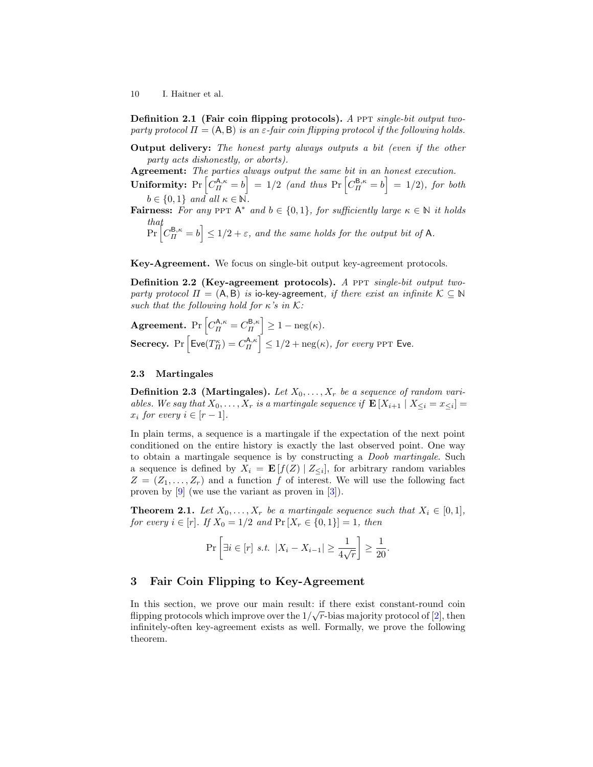Definition 2.1 (Fair coin flipping protocols). A PPT single-bit output twoparty protocol  $\Pi = (A, B)$  is an  $\varepsilon$ -fair coin flipping protocol if the following holds.

Output delivery: The honest party always outputs a bit (even if the other party acts dishonestly, or aborts).

Agreement: The parties always output the same bit in an honest execution.

Uniformity:  $Pr\left[C_{\Pi}^{A,\kappa} = b\right] = 1/2$  (and thus  $Pr\left[C_{\Pi}^{B,\kappa} = b\right] = 1/2$ ), for both  $b \in \{0,1\}$  and all  $\kappa \in \mathbb{N}$ .

**Fairness:** For any PPT  $A^*$  and  $b \in \{0,1\}$ , for sufficiently large  $\kappa \in \mathbb{N}$  it holds that

$$
\Pr\left[C_{\Pi}^{\mathsf{B},\kappa}=b\right] \le 1/2+\varepsilon, \text{ and the same holds for the output bit of A.}
$$

Key-Agreement. We focus on single-bit output key-agreement protocols.

Definition 2.2 (Key-agreement protocols). A PPT single-bit output twoparty protocol  $\Pi = (A, B)$  is io-key-agreement, if there exist an infinite  $K \subseteq N$ such that the following hold for  $\kappa$ 's in K:

**Agreement.** Pr  $\left[C_{\Pi}^{\mathsf{A},\kappa} = C_{\Pi}^{\mathsf{B},\kappa}\right] \geq 1 - \text{neg}(\kappa).$ Secrecy. Pr  $\left[\text{Eve}(T_{II}^{\kappa})=C_{II}^{\mathsf{A},\kappa}\right] \leq 1/2+\text{neg}(\kappa)$ , for every PPT Eve.

## 2.3 Martingales

**Definition 2.3 (Martingales).** Let  $X_0, \ldots, X_r$  be a sequence of random variables. We say that  $X_0, \ldots, X_r$  is a martingale sequence if  $\mathbf{E}[X_{i+1} | X_{\leq i} = x_{\leq i}]$  $x_i$  for every  $i \in [r-1]$ .

In plain terms, a sequence is a martingale if the expectation of the next point conditioned on the entire history is exactly the last observed point. One way to obtain a martingale sequence is by constructing a Doob martingale. Such a sequence is defined by  $X_i = \mathbf{E}[f(Z) | Z_{\leq i}]$ , for arbitrary random variables  $Z = (Z_1, \ldots, Z_r)$  and a function f of interest. We will use the following fact proven by [\[9\]](#page-23-7) (we use the variant as proven in [\[3\]](#page-23-5)).

<span id="page-9-2"></span>**Theorem 2.1.** Let  $X_0, \ldots, X_r$  be a martingale sequence such that  $X_i \in [0,1]$ , for every  $i \in [r]$ . If  $X_0 = 1/2$  and  $\Pr[X_r \in \{0, 1\}] = 1$ , then

$$
\Pr\left[\exists i \in [r] \ s.t. \ |X_i - X_{i-1}| \ge \frac{1}{4\sqrt{r}}\right] \ge \frac{1}{20}.
$$

## <span id="page-9-0"></span>3 Fair Coin Flipping to Key-Agreement

<span id="page-9-1"></span>In this section, we prove our main result: if there exist constant-round coin flipping protocols which improve over the  $1/\sqrt{r}$ -bias majority protocol of [\[2\]](#page-23-1), then infinitely-often key-agreement exists as well. Formally, we prove the following theorem.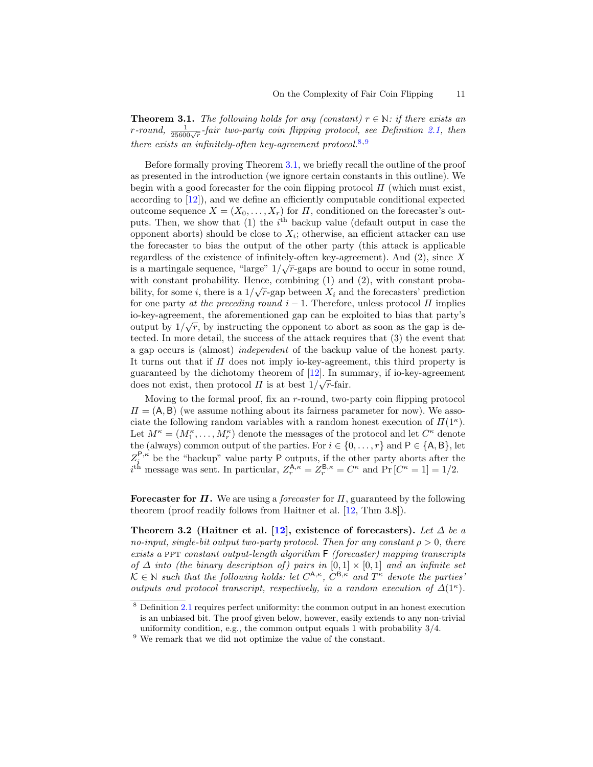**Theorem 3.1.** The following holds for any (constant)  $r \in \mathbb{N}$ : if there exists an r-round,  $\frac{1}{25600\sqrt{r}}$ -fair two-party coin flipping protocol, see Definition [2.1,](#page-8-1) then there exists an infinitely-often key-agreement protocol.<sup>[8](#page-10-0),[9](#page-10-1)</sup>

Before formally proving Theorem [3.1,](#page-9-1) we briefly recall the outline of the proof as presented in the introduction (we ignore certain constants in this outline). We begin with a good forecaster for the coin flipping protocol  $\Pi$  (which must exist, according to [\[12\]](#page-23-4)), and we define an efficiently computable conditional expected outcome sequence  $X = (X_0, \ldots, X_r)$  for  $\Pi$ , conditioned on the forecaster's outputs. Then, we show that (1) the  $i<sup>th</sup>$  backup value (default output in case the opponent aborts) should be close to  $X_i$ ; otherwise, an efficient attacker can use the forecaster to bias the output of the other party (this attack is applicable regardless of the existence of infinitely-often key-agreement). And (2), since X is a martingale sequence, "large"  $1/\sqrt{r}$ -gaps are bound to occur in some round, with constant probability. Hence, combining  $(1)$  and  $(2)$ , with constant probability, for some *i*, there is a  $1/\sqrt{r}$ -gap between  $X_i$  and the forecasters' prediction for one party at the preceding round  $i - 1$ . Therefore, unless protocol  $\Pi$  implies io-key-agreement, the aforementioned gap can be exploited to bias that party's √ output by  $1/\sqrt{r}$ , by instructing the opponent to abort as soon as the gap is detected. In more detail, the success of the attack requires that (3) the event that a gap occurs is (almost) independent of the backup value of the honest party. It turns out that if  $\Pi$  does not imply io-key-agreement, this third property is guaranteed by the dichotomy theorem of [\[12\]](#page-23-4). In summary, if io-key-agreement does not exist, then protocol  $\Pi$  is at best  $1/\sqrt{r}$ -fair.

Moving to the formal proof, fix an r-round, two-party coin flipping protocol  $\Pi = (A, B)$  (we assume nothing about its fairness parameter for now). We associate the following random variables with a random honest execution of  $\Pi(1^{\kappa})$ . Let  $M^{\kappa} = (M_1^{\kappa}, \ldots, M_r^{\kappa})$  denote the messages of the protocol and let  $C^{\kappa}$  denote the (always) common output of the parties. For  $i \in \{0, \ldots, r\}$  and  $P \in \{A, B\}$ , let  $Z_i^{P,\kappa}$  be the "backup" value party P outputs, if the other party aborts after the  $i^{\text{th}}$  message was sent. In particular,  $Z_r^{\mathsf{A},\kappa} = Z_r^{\mathsf{B},\kappa} = C^{\kappa}$  and  $\Pr\left[C^{\kappa} = 1\right] = 1/2$ .

Forecaster for  $\Pi$ . We are using a *forecaster* for  $\Pi$ , guaranteed by the following theorem (proof readily follows from Haitner et al. [\[12,](#page-23-4) Thm 3.8]).

<span id="page-10-2"></span>Theorem 3.2 (Haitner et al. [\[12\]](#page-23-4), existence of forecasters). Let  $\Delta$  be a no-input, single-bit output two-party protocol. Then for any constant  $\rho > 0$ , there exists a PPT constant output-length algorithm  $F$  (forecaster) mapping transcripts of  $\Delta$  into (the binary description of) pairs in  $[0,1] \times [0,1]$  and an infinite set  $\mathcal{K} \in \mathbb{N}$  such that the following holds: let  $C^{A,\kappa}$ ,  $C^{B,\kappa}$  and  $T^{\kappa}$  denote the parties outputs and protocol transcript, respectively, in a random execution of  $\Delta(1^{\kappa})$ .

<span id="page-10-0"></span><sup>8</sup> Definition [2.1](#page-8-1) requires perfect uniformity: the common output in an honest execution is an unbiased bit. The proof given below, however, easily extends to any non-trivial uniformity condition, e.g., the common output equals 1 with probability 3/4.

<span id="page-10-1"></span> $9$  We remark that we did not optimize the value of the constant.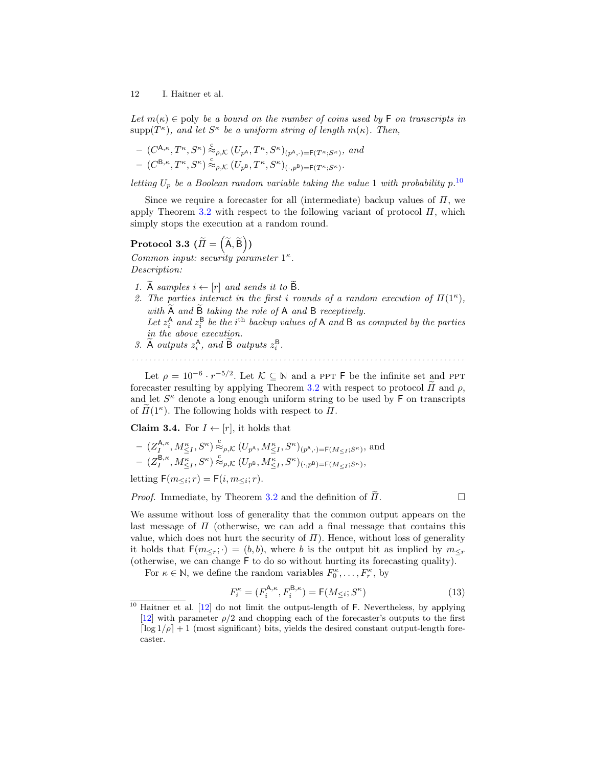Let  $m(\kappa) \in \text{poly}$  be a bound on the number of coins used by F on transcripts in  $\text{supp}(T^{\kappa})$ , and let  $S^{\kappa}$  be a uniform string of length  $m(\kappa)$ . Then,

$$
- (C^{A,\kappa}, T^{\kappa}, S^{\kappa}) \overset{c}{\approx}_{\rho,\mathcal{K}} (U_{p^A}, T^{\kappa}, S^{\kappa})_{(p^A,\cdot)=F(T^{\kappa}; S^{\kappa})}, \text{ and } \\ - (C^{B,\kappa}, T^{\kappa}, S^{\kappa}) \overset{c}{\approx}_{\rho,\mathcal{K}} (U_{p^B}, T^{\kappa}, S^{\kappa})_{(\cdot,p^B)=F(T^{\kappa}; S^{\kappa})}.
$$

letting  $U_p$  be a Boolean random variable taking the value 1 with probability  $p^{10}$  $p^{10}$  $p^{10}$ .

Since we require a forecaster for all (intermediate) backup values of  $\Pi$ , we apply Theorem [3.2](#page-10-2) with respect to the following variant of protocol  $\Pi$ , which simply stops the execution at a random round.

# $\text{Protocol 3.3 } (\widetilde{\varPi} = \left(\widetilde{\mathsf{A}}, \widetilde{\mathsf{B}}\right))$

Common input: security parameter  $1^{\kappa}$ . Description:

- 1.  $\widetilde{A}$  samples  $i \leftarrow [r]$  and sends it to  $\widetilde{B}$ .
- 2. The parties interact in the first i rounds of a random execution of  $\Pi(1^{\kappa})$ , with A and B taking the role of A and B receptively.<br>Let  $z_i^{\text{A}}$  and  $z_i^{\text{B}}$  be the i<sup>th</sup> backup values of A and B as computed by the parties in the above execution.
- 3. A outputs  $z_i^{\mathsf{A}}$ , and B outputs  $z_i^{\mathsf{B}}$ .

Let  $\rho = 10^{-6} \cdot r^{-5/2}$ . Let  $\mathcal{K} \subseteq \mathbb{N}$  and a PPT F be the infinite set and PPT forecaster resulting by applying Theorem [3.2](#page-10-2) with respect to protocol  $\tilde{\Pi}$  and  $\rho$ , and let  $S<sup>\kappa</sup>$  denote a long enough uniform string to be used by  $F$  on transcripts of  $\tilde{\Pi}(1^{\kappa})$ . The following holds with respect to  $\Pi$ .

<span id="page-11-1"></span>**Claim 3.4.** For  $I \leftarrow [r]$ , it holds that

$$
\begin{split} &-\left(Z_I^{\mathsf{A},\kappa},M_{\leq I}^\kappa,S^\kappa\right)\stackrel{\text{c}}{\approx}_{\rho,\mathcal{K}}\left(U_{p^\mathsf{A}},M_{\leq I}^\kappa,S^\kappa\right)_{(p^\mathsf{A},\cdot)=\mathsf{F}(M_{\leq I};S^\kappa)},\text{ and}\\ &-\left(Z_I^{\mathsf{B},\kappa},M_{\leq I}^\kappa,S^\kappa\right)\stackrel{\text{c}}{\approx}_{\rho,\mathcal{K}}\left(U_{p^\mathsf{B}},M_{\leq I}^\kappa,S^\kappa\right)_{(\cdot,p^\mathsf{B})=\mathsf{F}(M_{\leq I};S^\kappa)}, \end{split}
$$

letting  $F(m_{\leq i}; r) = F(i, m_{\leq i}; r)$ .

*Proof.* Immediate, by Theorem [3.2](#page-10-2) and the definition of  $H$ .

We assume without loss of generality that the common output appears on the last message of  $\Pi$  (otherwise, we can add a final message that contains this value, which does not hurt the security of  $\Pi$ ). Hence, without loss of generality it holds that  $F(m_{\leq r};\cdot) = (b, b)$ , where b is the output bit as implied by  $m_{\leq r}$ (otherwise, we can change F to do so without hurting its forecasting quality).

For  $\kappa \in \mathbb{N}$ , we define the random variables  $F_0^{\kappa}, \ldots, F_r^{\kappa}$ , by

$$
F_i^{\kappa} = (F_i^{\mathsf{A},\kappa}, F_i^{\mathsf{B},\kappa}) = \mathsf{F}(M_{\leq i}; S^{\kappa})
$$
\n(13)

<span id="page-11-0"></span> $10$  Haitner et al.  $[12]$  do not limit the output-length of F. Nevertheless, by applying [\[12\]](#page-23-4) with parameter  $\rho/2$  and chopping each of the forecaster's outputs to the first  $\lceil \log 1/\rho \rceil + 1$  (most significant) bits, yields the desired constant output-length forecaster.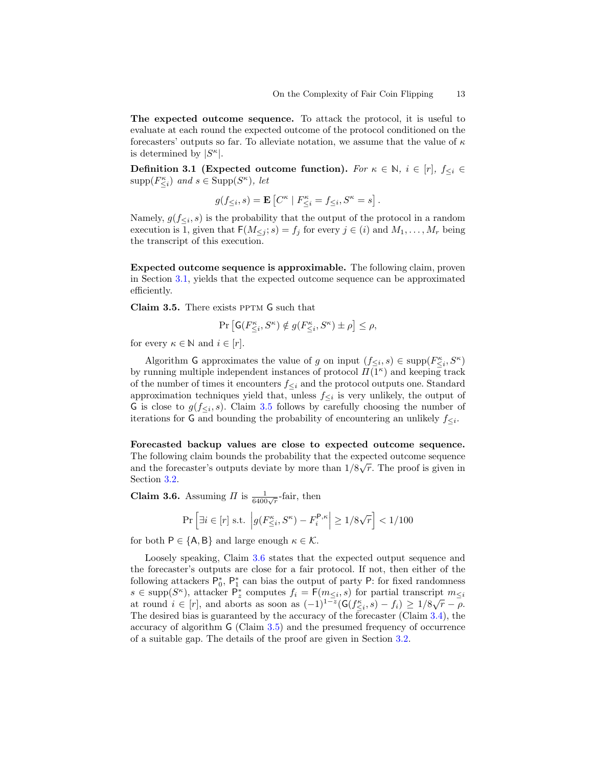The expected outcome sequence. To attack the protocol, it is useful to evaluate at each round the expected outcome of the protocol conditioned on the forecasters' outputs so far. To alleviate notation, we assume that the value of  $\kappa$ is determined by  $|S^{\kappa}|$ .

Definition 3.1 (Expected outcome function). For  $\kappa \in \mathbb{N}$ ,  $i \in [r]$ ,  $f_{\leq i} \in$  $\text{supp}(F_{\leq i}^{\kappa})$  and  $s \in \text{Supp}(S^{\kappa})$ , let

$$
g(f_{\leq i},s) = \mathbf{E}\left[C^{\kappa} \mid F^{\kappa}_{\leq i} = f_{\leq i}, S^{\kappa} = s\right].
$$

Namely,  $g(f_{\leq i}, s)$  is the probability that the output of the protocol in a random execution is 1, given that  $F(M_{\leq i}; s) = f_i$  for every  $j \in (i)$  and  $M_1, \ldots, M_r$  being the transcript of this execution.

Expected outcome sequence is approximable. The following claim, proven in Section [3.1,](#page-16-0) yields that the expected outcome sequence can be approximated efficiently.

<span id="page-12-0"></span>Claim 3.5. There exists PPTM G such that

$$
\Pr\left[\mathsf{G}(F_{\leq i}^{\kappa},S^{\kappa}) \notin g(F_{\leq i}^{\kappa},S^{\kappa}) \pm \rho\right] \leq \rho,
$$

for every  $\kappa \in \mathbb{N}$  and  $i \in [r]$ .

Algorithm G approximates the value of g on input  $(f_{\leq i}, s) \in \text{supp}(F_{\leq i}^{\kappa}, S^{\kappa})$ by running multiple independent instances of protocol  $\Pi(\overline{1^{\kappa}})$  and keeping track of the number of times it encounters  $f_{\leq i}$  and the protocol outputs one. Standard approximation techniques yield that, unless  $f_{\leq i}$  is very unlikely, the output of G is close to  $g(f_{\leq i}, s)$ . Claim [3.5](#page-12-0) follows by carefully choosing the number of iterations for G and bounding the probability of encountering an unlikely  $f_{\leq i}$ .

Forecasted backup values are close to expected outcome sequence. The following claim bounds the probability that the expected outcome sequence and the forecaster's outputs deviate by more than  $1/8\sqrt{r}$ . The proof is given in Section [3.2.](#page-17-0)

<span id="page-12-1"></span>**Claim 3.6.** Assuming  $\Pi$  is  $\frac{1}{6400\sqrt{r}}$ -fair, then

$$
\Pr\left[\exists i \in [r] \text{ s.t. } \left| g(F_{\leq i}^{\kappa}, S^{\kappa}) - F_i^{\mathsf{P}, \kappa} \right| \geq 1/8\sqrt{r} \right] < 1/100
$$

for both  $P \in \{A, B\}$  and large enough  $\kappa \in \mathcal{K}$ .

Loosely speaking, Claim [3.6](#page-12-1) states that the expected output sequence and the forecaster's outputs are close for a fair protocol. If not, then either of the following attackers  $\mathsf{P}_0^*$ ,  $\mathsf{P}_1^*$  can bias the output of party  $\mathsf{P}$ : for fixed randomness  $s \in \text{supp}(S^{\kappa})$ , attacker  $\mathsf{P}_{z}^{*}$  computes  $f_i = \mathsf{F}(m_{\leq i}, s)$  for partial transcript  $m_{\leq i}$  $s \in \text{supp}(S)$ , attacket  $r_z$  computes  $j_i = r(m_{\leq i}, s)$  for partial transcript  $m_{\leq i}$ <br>at round  $i \in [r]$ , and aborts as soon as  $(-1)^{1-z}(G(f_{\leq i}, s) - f_i) \geq 1/8\sqrt{r} - \rho$ . The desired bias is guaranteed by the accuracy of the forecaster (Claim [3.4\)](#page-11-1), the accuracy of algorithm G (Claim [3.5\)](#page-12-0) and the presumed frequency of occurrence of a suitable gap. The details of the proof are given in Section [3.2.](#page-17-0)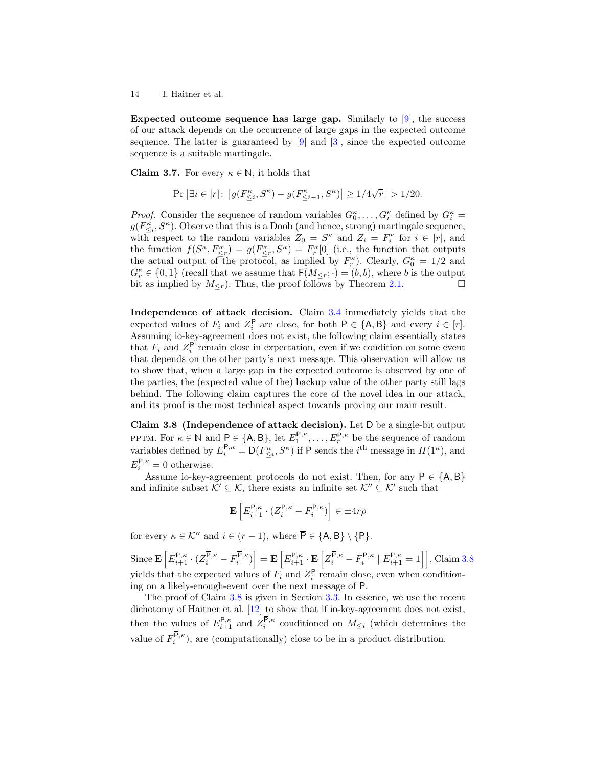Expected outcome sequence has large gap. Similarly to  $|9|$ , the success of our attack depends on the occurrence of large gaps in the expected outcome sequence. The latter is guaranteed by [\[9\]](#page-23-7) and [\[3\]](#page-23-5), since the expected outcome sequence is a suitable martingale.

<span id="page-13-1"></span>**Claim 3.7.** For every  $\kappa \in \mathbb{N}$ , it holds that

$$
\Pr\left[\exists i \in [r] \colon \left| g(F_{\leq i}^{\kappa}, S^{\kappa}) - g(F_{\leq i-1}^{\kappa}, S^{\kappa}) \right| \geq 1/4\sqrt{r} \right] > 1/20.
$$

*Proof.* Consider the sequence of random variables  $G_0^{\kappa}, \ldots, G_r^{\kappa}$  defined by  $G_i^{\kappa}$  =  $g(F_{\leq i}^{\kappa}, S^{\kappa})$ . Observe that this is a Doob (and hence, strong) martingale sequence, with respect to the random variables  $Z_0 = S^{\kappa}$  and  $Z_i = F_i^{\kappa}$  for  $i \in [r]$ , and the function  $f(S^{\kappa}, F^{\kappa}_{\leq r}) = g(F^{\kappa}_{\leq r}, S^{\kappa}) = F^{\kappa}_r[0]$  (i.e., the function that outputs the actual output of the protocol, as implied by  $F_r^{\kappa}$ ). Clearly,  $G_0^{\kappa} = 1/2$  and  $G_r^{\kappa} \in \{0,1\}$  (recall that we assume that  $\mathsf{F}(M_{\leq r};\cdot) = (b,b)$ , where b is the output bit as implied by  $M_{\leq r}$ ). Thus, the proof follows by Theorem [2.1.](#page-9-2)

Independence of attack decision. Claim [3.4](#page-11-1) immediately yields that the expected values of  $F_i$  and  $Z_i^{\mathsf{P}}$  are close, for both  $\mathsf{P} \in \{\mathsf{A},\mathsf{B}\}\$  and every  $i \in [r]$ . Assuming io-key-agreement does not exist, the following claim essentially states that  $F_i$  and  $Z_i^{\mathsf{P}}$  remain close in expectation, even if we condition on some event that depends on the other party's next message. This observation will allow us to show that, when a large gap in the expected outcome is observed by one of the parties, the (expected value of the) backup value of the other party still lags behind. The following claim captures the core of the novel idea in our attack, and its proof is the most technical aspect towards proving our main result.

<span id="page-13-0"></span>Claim 3.8 (Independence of attack decision). Let D be a single-bit output PPTM. For  $\kappa \in \mathbb{N}$  and  $P \in \{A, B\}$ , let  $E_1^{P,\kappa}, \ldots, E_r^{P,\kappa}$  be the sequence of random variables defined by  $E_i^{\mathsf{P},\kappa} = \mathsf{D}(F_{\leq i}^{\kappa}, S^{\kappa})$  if P sends the  $i^{\text{th}}$  message in  $\Pi(1^{\kappa})$ , and  $E_i^{\mathsf{P},\kappa} = 0$  otherwise.

Assume io-key-agreement protocols do not exist. Then, for any  $P \in \{A, B\}$ and infinite subset  $\mathcal{K}' \subseteq \mathcal{K}$ , there exists an infinite set  $\mathcal{K}'' \subseteq \mathcal{K}'$  such that

$$
\mathbf{E}\left[E_{i+1}^{\mathbf{P},\kappa}\cdot(Z_i^{\overline{\mathbf{P}},\kappa}-F_i^{\overline{\mathbf{P}},\kappa})\right]\in\pm 4r\rho
$$

for every  $\kappa \in \mathcal{K}''$  and  $i \in (r-1)$ , where  $\overline{P} \in \{A, B\} \setminus \{P\}.$ 

 $\text{Since } \mathbf{E}\left[E_{i+1}^{\mathsf{P},\kappa} \cdot (Z_i^{\overline{\mathsf{P}},\kappa} - F_i^{\overline{\mathsf{P}},\kappa})\right] = \mathbf{E}\left[E_{i+1}^{\mathsf{P},\kappa} \cdot \mathbf{E}\left[Z_i^{\overline{\mathsf{P}},\kappa} - F_i^{\mathsf{P},\kappa} \mid E_{i+1}^{\mathsf{P},\kappa} = 1\right]\right], \text{Claim 3.8}$  $\text{Since } \mathbf{E}\left[E_{i+1}^{\mathsf{P},\kappa} \cdot (Z_i^{\overline{\mathsf{P}},\kappa} - F_i^{\overline{\mathsf{P}},\kappa})\right] = \mathbf{E}\left[E_{i+1}^{\mathsf{P},\kappa} \cdot \mathbf{E}\left[Z_i^{\overline{\mathsf{P}},\kappa} - F_i^{\mathsf{P},\kappa} \mid E_{i+1}^{\mathsf{P},\kappa} = 1\right]\right], \text{Claim 3.8}$  $\text{Since } \mathbf{E}\left[E_{i+1}^{\mathsf{P},\kappa} \cdot (Z_i^{\overline{\mathsf{P}},\kappa} - F_i^{\overline{\mathsf{P}},\kappa})\right] = \mathbf{E}\left[E_{i+1}^{\mathsf{P},\kappa} \cdot \mathbf{E}\left[Z_i^{\overline{\mathsf{P}},\kappa} - F_i^{\mathsf{P},\kappa} \mid E_{i+1}^{\mathsf{P},\kappa} = 1\right]\right], \text{Claim 3.8}$ yields that the expected values of  $F_i$  and  $Z_i^{\mathsf{P}}$  remain close, even when conditioning on a likely-enough-event over the next message of P.

The proof of Claim [3.8](#page-13-0) is given in Section [3.3.](#page-19-0) In essence, we use the recent dichotomy of Haitner et al. [\[12\]](#page-23-4) to show that if io-key-agreement does not exist, then the values of  $E_{i+1}^{\mathsf{P},\kappa}$  and  $Z_i^{\mathsf{P},\kappa}$  conditioned on  $M_{\leq i}$  (which determines the value of  $F_i^{P,\kappa}$ ), are (computationally) close to be in a product distribution.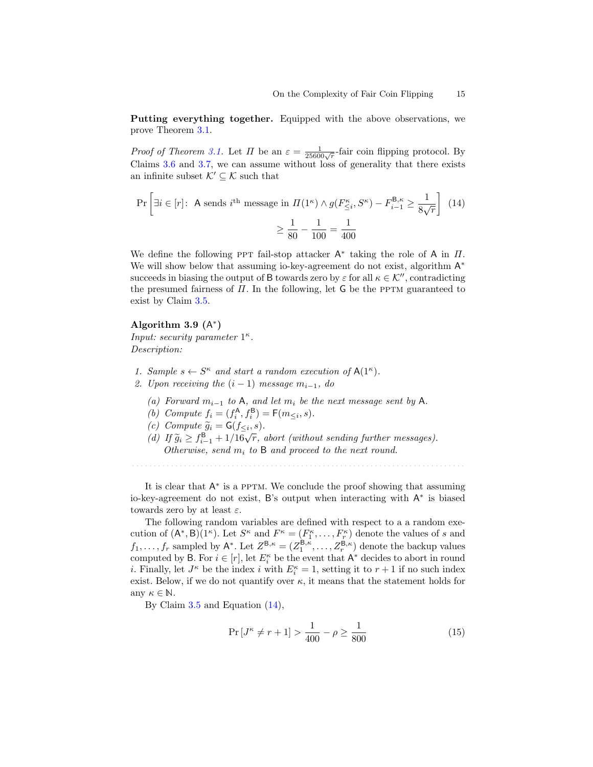Putting everything together. Equipped with the above observations, we prove Theorem [3.1.](#page-9-1)

*Proof of Theorem [3.1.](#page-9-1)* Let  $\Pi$  be an  $\varepsilon = \frac{1}{25600\sqrt{r}}$ -fair coin flipping protocol. By Claims [3.6](#page-12-1) and [3.7,](#page-13-1) we can assume without loss of generality that there exists an infinite subset  $\mathcal{K}' \subseteq \mathcal{K}$  such that

<span id="page-14-0"></span>
$$
\Pr\left[\exists i \in [r]: \text{ A sends } i^{\text{th}} \text{ message in } \Pi(1^{\kappa}) \land g(F_{\leq i}^{\kappa}, S^{\kappa}) - F_{i-1}^{\mathsf{B}, \kappa} \geq \frac{1}{8\sqrt{r}}\right] (14) \\
\geq \frac{1}{80} - \frac{1}{100} = \frac{1}{400}
$$

We define the following PPT fail-stop attacker  $A^*$  taking the role of A in  $\Pi$ . We will show below that assuming io-key-agreement do not exist, algorithm  $A^*$ succeeds in biasing the output of B towards zero by  $\varepsilon$  for all  $\kappa \in \mathcal{K}^{\prime\prime}$ , contradicting the presumed fairness of  $\Pi$ . In the following, let G be the PPTM guaranteed to exist by Claim [3.5.](#page-12-0)

## Algorithm 3.9  $(A^*)$

Input: security parameter  $1^{\kappa}$ . Description:

- 1. Sample  $s \leftarrow S^{\kappa}$  and start a random execution of  $A(1^{\kappa})$ .
- 2. Upon receiving the  $(i 1)$  message  $m_{i-1}$ , do
	- (a) Forward  $m_{i-1}$  to A, and let  $m_i$  be the next message sent by A.
	- (b) Compute  $f_i = (f_i^{\mathsf{A}}, f_i^{\mathsf{B}}) = \mathsf{F}(m_{\leq i}, s)$ .
	- (c) Compute  $\widetilde{g}_i = \mathsf{G}(f_{\leq i}, s)$ .<br>(d) If  $\widetilde{g} > f\mathsf{B}$  + 1/16  $\overline{g}$ .
	- (c) Compute  $g_i = g(j_1 \leq i, s)$ .<br>
	(d) If  $\tilde{g}_i \geq f_{i-1}^B + 1/16\sqrt{r}$ , abort (without sending further messages). Otherwise, send  $m_i$  to B and proceed to the next round.

It is clear that  $A^*$  is a PPTM. We conclude the proof showing that assuming io-key-agreement do not exist, B's output when interacting with  $A^*$  is biased towards zero by at least  $\varepsilon$ .

The following random variables are defined with respect to a a random execution of  $(A^*,B)(1^{\kappa})$ . Let  $S^{\kappa}$  and  $F^{\kappa} = (F_1^{\kappa}, \ldots, F_r^{\kappa})$  denote the values of s and  $f_1, \ldots, f_r$  sampled by  $\mathsf{A}^*$ . Let  $Z^{\mathsf{B}, \kappa} = (Z_1^{\mathsf{B}, \kappa}, \ldots, Z_r^{\mathsf{B}, \kappa})$  denote the backup values computed by B. For  $i \in [r]$ , let  $E_i^{\kappa}$  be the event that  $A^*$  decides to abort in round *i*. Finally, let  $J^{\kappa}$  be the index *i* with  $E_i^{\kappa} = 1$ , setting it to  $r + 1$  if no such index exist. Below, if we do not quantify over  $\kappa$ , it means that the statement holds for any  $\kappa \in \mathbb{N}$ .

By Claim [3.5](#page-12-0) and Equation [\(14\)](#page-14-0),

<span id="page-14-1"></span>
$$
\Pr\left[J^{\kappa} \neq r+1\right] > \frac{1}{400} - \rho \ge \frac{1}{800} \tag{15}
$$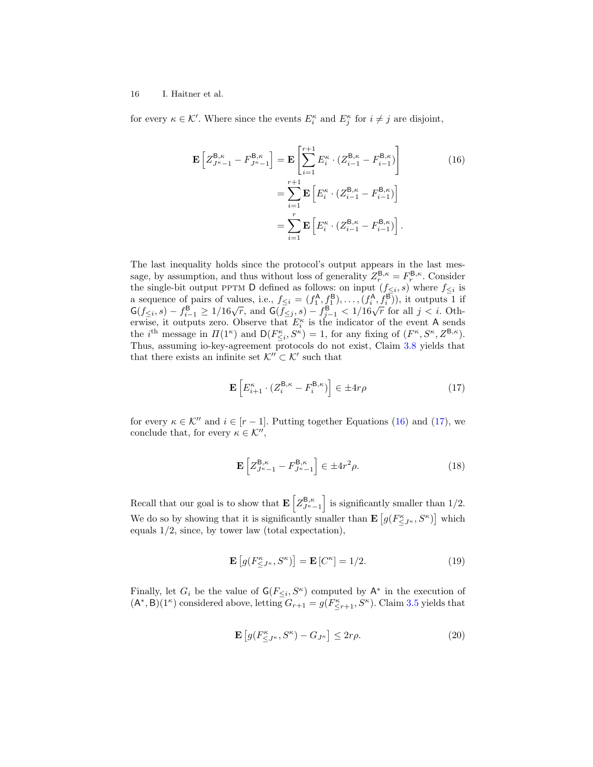for every  $\kappa \in \mathcal{K}'$ . Where since the events  $E_i^{\kappa}$  and  $E_j^{\kappa}$  for  $i \neq j$  are disjoint,

<span id="page-15-0"></span>
$$
\mathbf{E}\left[Z_{J^{\kappa}-1}^{\mathbf{B},\kappa} - F_{J^{\kappa}-1}^{\mathbf{B},\kappa}\right] = \mathbf{E}\left[\sum_{i=1}^{r+1} E_i^{\kappa} \cdot (Z_{i-1}^{\mathbf{B},\kappa} - F_{i-1}^{\mathbf{B},\kappa})\right]
$$
\n
$$
= \sum_{i=1}^{r+1} \mathbf{E}\left[E_i^{\kappa} \cdot (Z_{i-1}^{\mathbf{B},\kappa} - F_{i-1}^{\mathbf{B},\kappa})\right]
$$
\n
$$
= \sum_{i=1}^{r} \mathbf{E}\left[E_i^{\kappa} \cdot (Z_{i-1}^{\mathbf{B},\kappa} - F_{i-1}^{\mathbf{B},\kappa})\right].
$$
\n(16)

The last inequality holds since the protocol's output appears in the last message, by assumption, and thus without loss of generality  $Z_r^{\mathsf{B},\kappa} = F_r^{\mathsf{B},\kappa}$ . Consider sage, by assumption, and thus without loss of generality  $Z_r^+ - T_r^+$ : Consider the single-bit output PPTM D defined as follows: on input  $(f_{\leq i}, s)$  where  $f_{\leq i}$  is a sequence of pairs of values, i.e.,  $f_{\leq i} = (f_1^{\mathsf{A}}, f_1^{\mathsf{B}}), \ldots, (f_i^{\mathsf{A}}, f_i^{\mathsf{B}})$ , it outputs 1 if a sequence of pairs of values, i.e.,  $j \leq i = (j_1, j_1), \ldots, (j_i, j_i)$ , it outputs 1 in  $G(f \leq i, s) - f_{i-1}^B \geq 1/16\sqrt{r}$ , and  $G(f \leq j, s) - f_{j-1}^B < 1/16\sqrt{r}$  for all  $j < i$ . Otherwise, it outputs zero. Observe that  $E_i^{\kappa}$  is the indicator of the event A sends the *i*<sup>th</sup> message in  $\Pi(1^{\kappa})$  and  $D(F_{\leq i}^{\kappa}, S^{\kappa}) = 1$ , for any fixing of  $(F^{\kappa}, S^{\kappa}, Z^{\mathsf{B}, \kappa})$ . Thus, assuming io-key-agreement protocols do not exist, Claim [3.8](#page-13-0) yields that that there exists an infinite set  $\mathcal{K}^{\prime\prime} \subset \mathcal{K}^{\prime}$  such that

<span id="page-15-1"></span>
$$
\mathbf{E}\left[E_{i+1}^{\kappa} \cdot (Z_i^{\mathsf{B},\kappa} - F_i^{\mathsf{B},\kappa})\right] \in \pm 4r\rho \tag{17}
$$

for every  $\kappa \in \mathcal{K}''$  and  $i \in [r-1]$ . Putting together Equations [\(16\)](#page-15-0) and [\(17\)](#page-15-1), we conclude that, for every  $\kappa \in \mathcal{K}''$ ,

<span id="page-15-2"></span>
$$
\mathbf{E}\left[Z_{J^{\kappa}-1}^{\mathsf{B},\kappa} - F_{J^{\kappa}-1}^{\mathsf{B},\kappa}\right] \in \pm 4r^2 \rho. \tag{18}
$$

Recall that our goal is to show that  $\mathbf{E}\left[Z_{J^{\kappa}-1}^{\mathsf{B},\kappa}\right]$  is significantly smaller than 1/2. We do so by showing that it is significantly smaller than  $\mathbf{E}\left[g(F_{\leq J^{\kappa}}^{\kappa},S^{\kappa})\right]$  which equals 1/2, since, by tower law (total expectation),

<span id="page-15-4"></span>
$$
\mathbf{E}\left[g(F^{\kappa}_{\leq J^{\kappa}}, S^{\kappa})\right] = \mathbf{E}\left[C^{\kappa}\right] = 1/2. \tag{19}
$$

Finally, let  $G_i$  be the value of  $\mathsf{G}(F_{\leq i}, S^{\kappa})$  computed by  $\mathsf{A}^*$  in the execution of  $(A^*, B)(1^{\kappa})$  considered above, letting  $G_{r+1} = g(F^{\kappa}_{\leq r+1}, S^{\kappa})$ . Claim [3.5](#page-12-0) yields that

<span id="page-15-3"></span>
$$
\mathbf{E}\left[g(F^{\kappa}_{\leq J^{\kappa}}, S^{\kappa}) - G_{J^{\kappa}}\right] \leq 2r\rho. \tag{20}
$$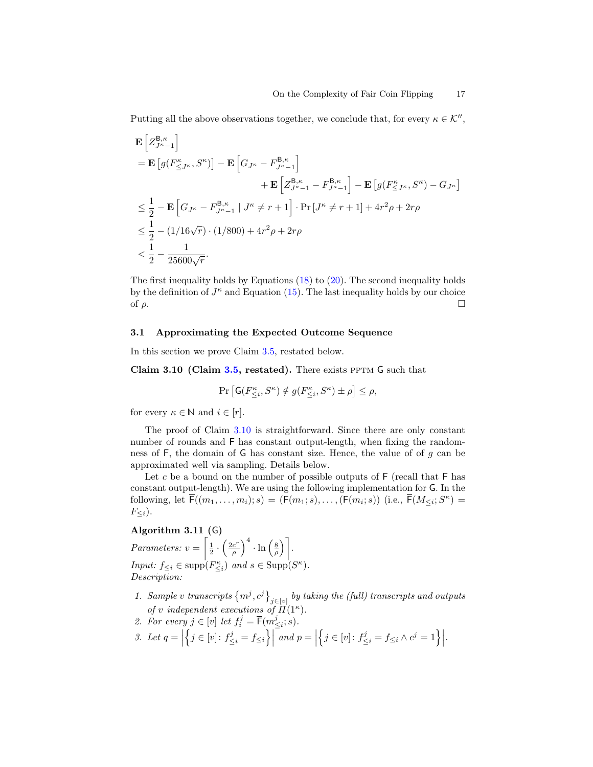Putting all the above observations together, we conclude that, for every  $\kappa \in \mathcal{K}''$ ,

$$
\begin{split} & \mathbf{E} \left[ Z_{J^{\kappa}-1}^{\mathsf{B},\kappa} \right] \\ & = \mathbf{E} \left[ g( F_{\leq J^{\kappa}}^{\kappa}, S^{\kappa}) \right] - \mathbf{E} \left[ G_{J^{\kappa}} - F_{J^{\kappa}-1}^{\mathsf{B},\kappa} \right] \\ & \qquad \qquad + \mathbf{E} \left[ Z_{J^{\kappa}-1}^{\mathsf{B},\kappa} - F_{J^{\kappa}-1}^{\mathsf{B},\kappa} \right] - \mathbf{E} \left[ g( F_{\leq J^{\kappa}}^{\kappa}, S^{\kappa}) - G_{J^{\kappa}} \right] \\ & \leq \frac{1}{2} - \mathbf{E} \left[ G_{J^{\kappa}} - F_{J^{\kappa}-1}^{\mathsf{B},\kappa} \mid J^{\kappa} \neq r+1 \right] \cdot \Pr \left[ J^{\kappa} \neq r+1 \right] + 4r^2 \rho + 2r \rho \\ & \leq \frac{1}{2} - (1/16\sqrt{r}) \cdot (1/800) + 4r^2 \rho + 2r \rho \\ & < \frac{1}{2} - \frac{1}{25600\sqrt{r}}. \end{split}
$$

The first inequality holds by Equations  $(18)$  to  $(20)$ . The second inequality holds by the definition of  $J^{\kappa}$  and Equation [\(15\)](#page-14-1). The last inequality holds by our choice of  $\rho$ .

## <span id="page-16-0"></span>3.1 Approximating the Expected Outcome Sequence

In this section we prove Claim [3.5,](#page-12-0) restated below.

Claim 3.10 (Claim [3.5,](#page-12-0) restated). There exists PPTM G such that

<span id="page-16-1"></span>
$$
\Pr\left[\mathsf{G}(F^\kappa_{\leq i},S^\kappa) \notin g(F^\kappa_{\leq i},S^\kappa) \pm \rho\right] \leq \rho,
$$

for every  $\kappa \in \mathbb{N}$  and  $i \in [r]$ .

The proof of Claim [3.10](#page-16-1) is straightforward. Since there are only constant number of rounds and F has constant output-length, when fixing the randomness of  $F$ , the domain of  $G$  has constant size. Hence, the value of of  $g$  can be approximated well via sampling. Details below.

Let c be a bound on the number of possible outputs of  $F$  (recall that  $F$  has constant output-length). We are using the following implementation for G. In the following, let  $\overline{\mathsf{F}}((m_1,\ldots,m_i);s) = (\mathsf{F}(m_1;s),\ldots,(\mathsf{F}(m_i;s))$  (i.e.,  $\overline{\mathsf{F}}(M_{\leq i};S^{\kappa}) =$  $F_{\leq i}$ ).

## Algorithm 3.11 (G)

Parameters:  $v = \left[\frac{1}{2} \cdot \left(\frac{2c^r}{\rho}\right)\right]$  $\left(\frac{c^r}{\rho}\right)^4 \cdot \ln\left(\frac{8}{\rho}\right)$ . Input:  $f_{\leq i} \in \text{supp}(F_{\leq i}^{\kappa})$  and  $s \in \text{Supp}(S^{\kappa})$ . Description:

- 1. Sample v transcripts  $\{m^j, c^j\}_{j \in [v]}$  by taking the (full) transcripts and outputs of v independent executions of  $\overline{H}(1^{\kappa})$ .
- 2. For every  $j \in [v]$  let  $f_i^j = \overline{\mathsf{F}}(m_{\leq i}^j; s)$ .
- 3. Let  $q = \begin{bmatrix} \end{bmatrix}$  $\left\{j \in [v] \colon f_{\leq i}^j = f_{\leq i} \right\} \mid and p = \mid$  $\Big\{ j \in [v] \colon f_{\leq i}^j = f_{\leq i} \wedge c^j = 1 \Big\} \Big|.$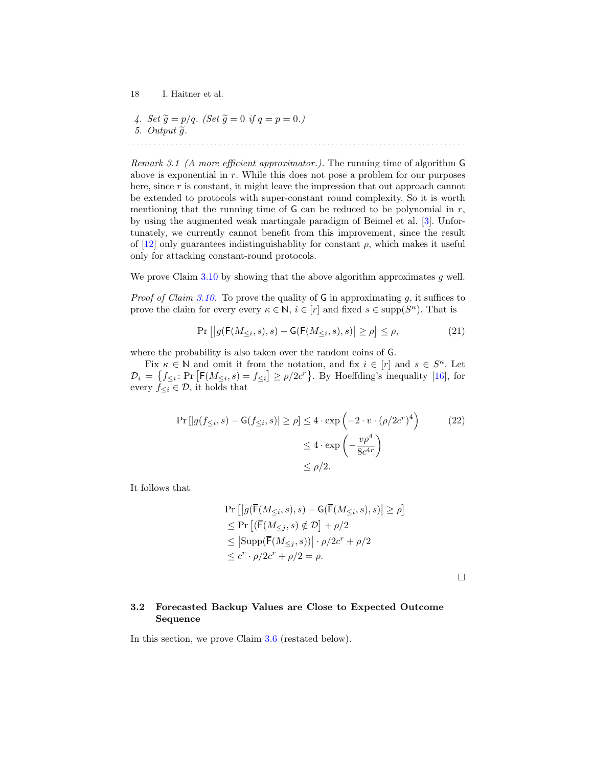4. Set 
$$
\tilde{g} = p/q
$$
. (Set  $\tilde{g} = 0$  if  $q = p = 0$ .)  
5. Output  $\tilde{g}$ .

Remark 3.1 (A more efficient approximator.). The running time of algorithm G above is exponential in  $r$ . While this does not pose a problem for our purposes here, since r is constant, it might leave the impression that out approach cannot be extended to protocols with super-constant round complexity. So it is worth mentioning that the running time of  $G$  can be reduced to be polynomial in  $r$ , by using the augmented weak martingale paradigm of Beimel et al. [\[3\]](#page-23-5). Unfortunately, we currently cannot benefit from this improvement, since the result of  $[12]$  only guarantees indistinguishablity for constant  $\rho$ , which makes it useful only for attacking constant-round protocols.

We prove Claim  $3.10$  by showing that the above algorithm approximates g well.

*Proof of Claim [3.10.](#page-16-1)* To prove the quality of  $G$  in approximating g, it suffices to prove the claim for every every  $\kappa \in \mathbb{N}, i \in [r]$  and fixed  $s \in \text{supp}(S^{\kappa})$ . That is

$$
\Pr\left[|g(\overline{\mathsf{F}}(M_{\leq i}, s), s) - \mathsf{G}(\overline{\mathsf{F}}(M_{\leq i}, s), s)| \geq \rho\right] \leq \rho,\tag{21}
$$

where the probability is also taken over the random coins of G.

Fix  $\kappa \in \mathbb{N}$  and omit it from the notation, and fix  $i \in [r]$  and  $s \in S^{\kappa}$ . Let  $\mathcal{D}_i = \{f_{\leq i}: \Pr\left[\overline{\mathsf{F}}(M_{\leq i}, s) = f_{\leq i}\right] \geq \rho/2c^r\}.$  By Hoeffding's inequality [\[16\]](#page-24-5), for every  $\widehat{f}_{\leq i} \in \mathcal{D}$ , it holds that

$$
\Pr\left[|g(f_{\leq i}, s) - G(f_{\leq i}, s)| \geq \rho\right] \leq 4 \cdot \exp\left(-2 \cdot v \cdot (\rho/2c^r)^4\right) \tag{22}
$$
\n
$$
\leq 4 \cdot \exp\left(-\frac{v\rho^4}{8c^{4r}}\right)
$$
\n
$$
\leq \rho/2.
$$

It follows that

$$
\Pr\left[|g(\overline{\mathsf{F}}(M_{\leq i}, s), s) - \mathsf{G}(\overline{\mathsf{F}}(M_{\leq i}, s), s)| \geq \rho\right] \leq \Pr\left[ (\overline{\mathsf{F}}(M_{\leq j}, s) \notin \mathcal{D}] + \rho/2 \leq |\text{Supp}(\overline{\mathsf{F}}(M_{\leq j}, s))| \cdot \rho/2c^r + \rho/2 \leq c^r \cdot \rho/2c^r + \rho/2 = \rho.
$$

 $\Box$ 

## <span id="page-17-0"></span>3.2 Forecasted Backup Values are Close to Expected Outcome Sequence

In this section, we prove Claim [3.6](#page-12-1) (restated below).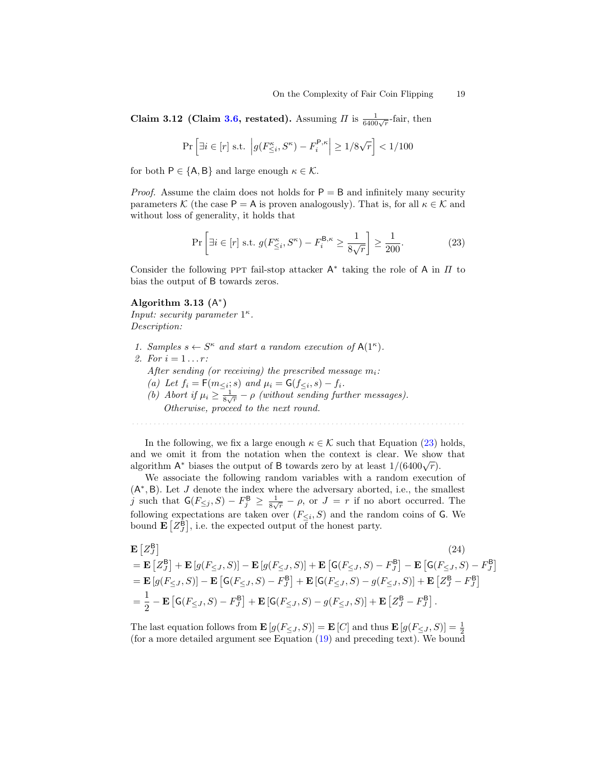Claim 3.12 (Claim [3.6,](#page-12-1) restated). Assuming  $\Pi$  is  $\frac{1}{6400\sqrt{r}}$ -fair, then

$$
\Pr\left[\exists i \in [r] \text{ s.t. } \left| g(F_{\leq i}^{\kappa}, S^{\kappa}) - F_i^{\mathsf{P},\kappa} \right| \geq 1/8\sqrt{r} \right] < 1/100
$$

for both  $P \in \{A, B\}$  and large enough  $\kappa \in \mathcal{K}$ .

*Proof.* Assume the claim does not holds for  $P = B$  and infinitely many security parameters K (the case P = A is proven analogously). That is, for all  $\kappa \in \mathcal{K}$  and without loss of generality, it holds that

$$
\Pr\left[\exists i \in [r] \text{ s.t. } g(F_{\leq i}^{\kappa}, S^{\kappa}) - F_i^{\mathsf{B}, \kappa} \geq \frac{1}{8\sqrt{r}}\right] \geq \frac{1}{200}.\tag{23}
$$

Consider the following PPT fail-stop attacker  $A^*$  taking the role of A in  $\Pi$  to bias the output of B towards zeros.

## Algorithm 3.13  $(A^*)$

Input: security parameter  $1^{\kappa}$ . Description:

1. Samples  $s \leftarrow S^{\kappa}$  and start a random execution of  $A(1^{\kappa})$ . 2. For  $i = 1...r$ : After sending (or receiving) the prescribed message  $m_i$ : (a) Let  $f_i = \mathsf{F}(m_{\leq i}; s)$  and  $\mu_i = \mathsf{G}(f_{\leq i}, s) - f_i$ . (b) Abort if  $\mu_i \geq \frac{1}{8\sqrt{r}} - \rho$  (without sending further messages). Otherwise, proceed to the next round.

In the following, we fix a large enough  $\kappa \in \mathcal{K}$  such that Equation [\(23\)](#page-18-0) holds, and we omit it from the notation when the context is clear. We show that ally we omit it from the hotation when the context is clear. We show algorithm  $A^*$  biases the output of B towards zero by at least  $1/(6400\sqrt{r})$ .

We associate the following random variables with a random execution of (A ∗ , B). Let J denote the index where the adversary aborted, i.e., the smallest j such that  $\mathsf{G}(F_{\leq j}, S) - F_j^{\mathsf{B}} \geq \frac{1}{8\sqrt{r}} - \rho$ , or  $J = r$  if no abort occurred. The following expectations are taken over  $(F_{\leq i}, S)$  and the random coins of G. We bound  $\mathbf{E}\left[Z_J^{\mathsf{B}}\right]$ , i.e. the expected output of the honest party.

<span id="page-18-1"></span>
$$
\mathbf{E}\left[Z_{J}^{\mathsf{B}}\right]
$$
\n
$$
= \mathbf{E}\left[Z_{J}^{\mathsf{B}}\right] + \mathbf{E}\left[g(F_{\leq J}, S)\right] - \mathbf{E}\left[g(F_{\leq J}, S)\right] + \mathbf{E}\left[\mathsf{G}(F_{\leq J}, S) - F_{J}^{\mathsf{B}}\right] - \mathbf{E}\left[\mathsf{G}(F_{\leq J}, S) - F_{J}^{\mathsf{B}}\right]
$$
\n
$$
= \mathbf{E}\left[g(F_{\leq J}, S)\right] - \mathbf{E}\left[\mathsf{G}(F_{\leq J}, S) - F_{J}^{\mathsf{B}}\right] + \mathbf{E}\left[\mathsf{G}(F_{\leq J}, S) - g(F_{\leq J}, S)\right] + \mathbf{E}\left[Z_{J}^{\mathsf{B}} - F_{J}^{\mathsf{B}}\right]
$$
\n
$$
= \frac{1}{2} - \mathbf{E}\left[\mathsf{G}(F_{\leq J}, S) - F_{J}^{\mathsf{B}}\right] + \mathbf{E}\left[\mathsf{G}(F_{\leq J}, S) - g(F_{\leq J}, S)\right] + \mathbf{E}\left[Z_{J}^{\mathsf{B}} - F_{J}^{\mathsf{B}}\right].
$$
\n(24)

The last equation follows from  $\mathbf{E}\left[g(F_{\leq J}, S)\right] = \mathbf{E}\left[C\right]$  and thus  $\mathbf{E}\left[g(F_{\leq J}, S)\right] = \frac{1}{2}$ (for a more detailed argument see Equation [\(19\)](#page-15-4) and preceding text). We bound

<span id="page-18-0"></span>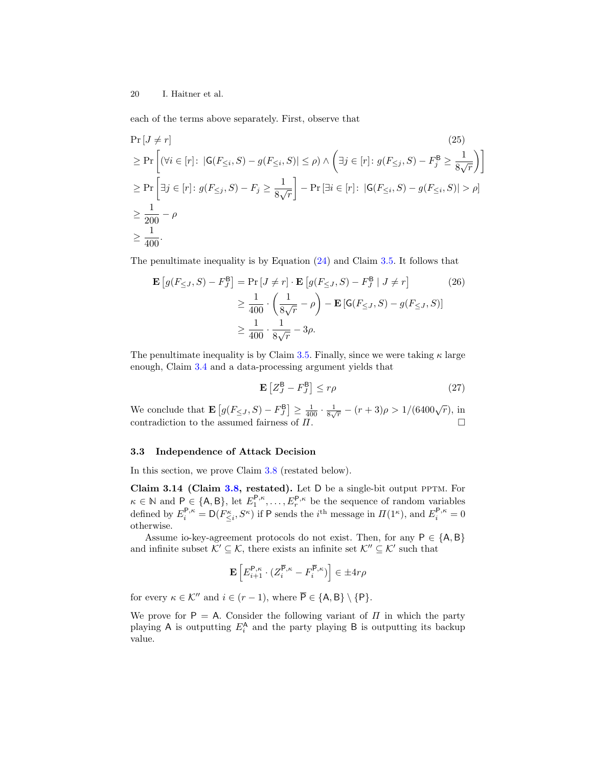each of the terms above separately. First, observe that

$$
\Pr\left[J \neq r\right] \tag{25}
$$
\n
$$
\geq \Pr\left[\left(\forall i \in [r]: |G(F_{\leq i}, S) - g(F_{\leq i}, S)| \leq \rho\right) \land \left(\exists j \in [r]: g(F_{\leq j}, S) - F_j^B \geq \frac{1}{8\sqrt{r}}\right)\right]
$$
\n
$$
\geq \Pr\left[\exists j \in [r]: g(F_{\leq j}, S) - F_j \geq \frac{1}{8\sqrt{r}}\right] - \Pr\left[\exists i \in [r]: |G(F_{\leq i}, S) - g(F_{\leq i}, S)| > \rho\right]
$$
\n
$$
\geq \frac{1}{200} - \rho
$$
\n
$$
\geq \frac{1}{400}.
$$
\n(25)

The penultimate inequality is by Equation [\(24\)](#page-18-1) and Claim [3.5.](#page-12-0) It follows that

$$
\mathbf{E}\left[g(F_{\leq J}, S) - F_J^{\mathcal{B}}\right] = \Pr\left[J \neq r\right] \cdot \mathbf{E}\left[g(F_{\leq J}, S) - F_J^{\mathcal{B}} \mid J \neq r\right]
$$
\n
$$
\geq \frac{1}{400} \cdot \left(\frac{1}{8\sqrt{r}} - \rho\right) - \mathbf{E}\left[\mathcal{G}(F_{\leq J}, S) - g(F_{\leq J}, S)\right]
$$
\n
$$
\geq \frac{1}{400} \cdot \frac{1}{8\sqrt{r}} - 3\rho.
$$
\n(26)

The penultimate inequality is by Claim [3.5.](#page-12-0) Finally, since we were taking  $\kappa$  large enough, Claim [3.4](#page-11-1) and a data-processing argument yields that

<span id="page-19-1"></span>
$$
\mathbf{E}\left[Z_J^{\mathsf{B}} - F_J^{\mathsf{B}}\right] \le r\rho\tag{27}
$$

We conclude that  $\mathbf{E}\left[g(F_{\leq J}, S) - F_{J}^{\mathbf{B}}\right] \geq \frac{1}{400} \cdot \frac{1}{8\sqrt{r}} - (r+3)\rho > 1/(6400\sqrt{r}),$  in contradiction to the assumed fairness of  $\Pi$ .

### <span id="page-19-0"></span>3.3 Independence of Attack Decision

In this section, we prove Claim [3.8](#page-13-0) (restated below).

Claim 3.14 (Claim [3.8,](#page-13-0) restated). Let D be a single-bit output PPTM. For  $\kappa \in \mathbb{N}$  and  $P \in \{A, B\}$ , let  $E_1^{P,\kappa}, \ldots, E_r^{P,\kappa}$  be the sequence of random variables defined by  $E_i^{\mathsf{P},\kappa} = \mathsf{D}(F_{\leq i}^{\kappa}, S^{\kappa})$  if P sends the  $i^{\text{th}}$  message in  $\Pi(1^{\kappa})$ , and  $E_i^{\mathsf{P},\kappa} = 0$ otherwise.

Assume io-key-agreement protocols do not exist. Then, for any  $P \in \{A, B\}$ and infinite subset  $\mathcal{K}' \subseteq \mathcal{K}$ , there exists an infinite set  $\mathcal{K}'' \subseteq \mathcal{K}'$  such that

$$
\mathbf{E}\left[E_{i+1}^{\mathbf{P},\kappa} \cdot (Z_i^{\overline{\mathbf{P}},\kappa} - F_i^{\overline{\mathbf{P}},\kappa})\right] \in \pm 4r\rho
$$

for every  $\kappa \in \mathcal{K}''$  and  $i \in (r-1)$ , where  $\overline{P} \in \{A, B\} \setminus \{P\}.$ 

We prove for  $P = A$ . Consider the following variant of  $\Pi$  in which the party playing A is outputting  $E_i^{\mathsf{A}}$  and the party playing B is outputting its backup value.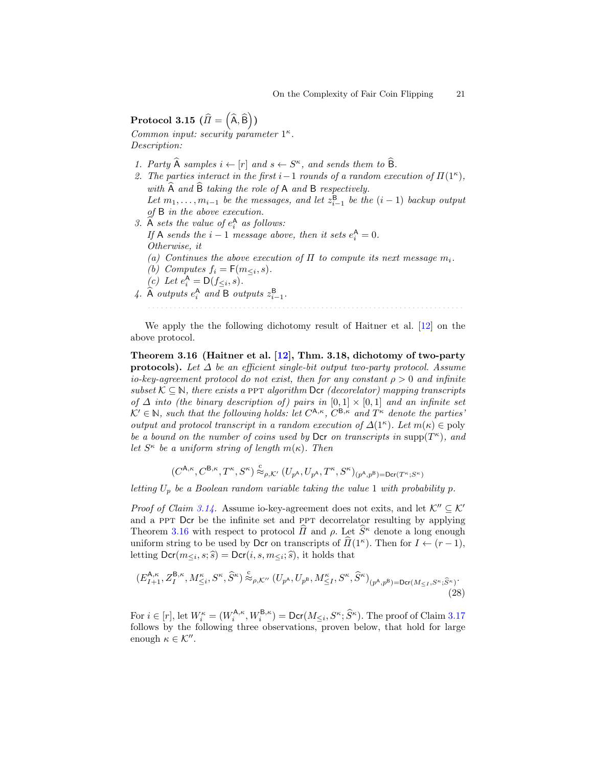# $\text{Protocol 3.15 } \big( \widehat{I} = \left( \widehat{\mathsf{A}}, \widehat{\mathsf{B}} \right) \big)$

Common input: security parameter  $1^{\kappa}$ . Description:

- 1. Party  $\hat{A}$  samples  $i \leftarrow [r]$  and  $s \leftarrow S^{\kappa}$ , and sends them to  $\hat{B}$ .
- 2. The parties interact in the first i 1 rounds of a random execution of  $\Pi(1^{\kappa})$ , with  $\widehat{A}$  and  $\widehat{B}$  taking the role of A and B respectively. Let  $m_1, \ldots, m_{i-1}$  be the messages, and let  $z_{i-1}^{\mathsf{B}}$  be the  $(i-1)$  backup output of B in the above execution.
- 3.  $\widehat{A}$  sets the value of  $e_i^A$  as follows: If A sends the  $i-1$  message above, then it sets  $e_i^{\mathsf{A}} = 0$ . Otherwise, it (a) Continues the above execution of  $\Pi$  to compute its next message  $m_i$ . (b) Computes  $f_i = \mathsf{F}(m_{\leq i}, s)$ . (c) Let  $e_i^{\mathsf{A}} = \mathsf{D}(f_{\leq i}, s)$ . 4.  $\widehat{A}$  outputs  $e_i^A$  and B outputs  $z_{i-1}^B$ .

<span id="page-20-0"></span>We apply the the following dichotomy result of Haitner et al. [\[12\]](#page-23-4) on the above protocol.

Theorem 3.16 (Haitner et al.  $[12]$ , Thm. 3.18, dichotomy of two-party **protocols).** Let  $\Delta$  be an efficient single-bit output two-party protocol. Assume io-key-agreement protocol do not exist, then for any constant  $\rho > 0$  and infinite subset  $K \subseteq \mathbb{N}$ , there exists a PPT algorithm Dcr (decorelator) mapping transcripts of  $\Delta$  into (the binary description of) pairs in  $[0,1] \times [0,1]$  and an infinite set  $\mathcal{K}' \in \mathbb{N}$ , such that the following holds: let  $C^{A,\kappa}$ ,  $C^{B,\kappa}$  and  $T^{\kappa}$  denote the parties' output and protocol transcript in a random execution of  $\Delta(1^{\kappa})$ . Let  $m(\kappa) \in \text{poly}$ be a bound on the number of coins used by Dcr on transcripts in  $\text{supp}(T^{\kappa})$ , and let  $S^{\kappa}$  be a uniform string of length  $m(\kappa)$ . Then

<span id="page-20-2"></span>
$$
(C^{\mathsf{A},\kappa},C^{\mathsf{B},\kappa},T^{\kappa},S^{\kappa})\overset{\text{c}}{\approx}_{\rho,\mathcal{K}'}(U_{p^{\mathsf{A}}},U_{p^{\mathsf{A}}},T^{\kappa},S^{\kappa})_{(p^{\mathsf{A}},p^{\mathsf{B}})=\mathsf{Der}(T^{\kappa};S^{\kappa})}
$$

letting  $U_p$  be a Boolean random variable taking the value 1 with probability p.

*Proof of Claim [3.14.](#page-19-1)* Assume io-key-agreement does not exits, and let  $K'' \subset K'$ and a PPT Dcr be the infinite set and PPT decorrelator resulting by applying Theorem [3.16](#page-20-0) with respect to protocol  $\widehat{H}$  and  $\rho$ . Let  $\widehat{S}^{\kappa}$  denote a long enough uniform string to be used by Dcr on transcripts of  $\widehat{H}(1^{\kappa})$ . Then for  $I \leftarrow (r-1)$ , letting  $\mathsf{Der}(m_{\leq i}, s; \widehat{s}) = \mathsf{Der}(i, s, m_{\leq i}; \widehat{s})$ , it holds that

$$
(E_{I+1}^{\mathsf{A},\kappa},Z_I^{\mathsf{B},\kappa},M_{\leq i}^\kappa,S^\kappa,\widehat{S}^\kappa)\overset{\text{c}}{\approx}_{\rho,\mathcal{K}''}(U_{p^{\mathsf{A}}},U_{p^{\mathsf{B}}},M_{\leq I}^\kappa,S^\kappa,\widehat{S}^\kappa)_{(p^{\mathsf{A}},p^{\mathsf{B}})=\mathrm{Der}(M_{\leq I},S^\kappa;\widehat{S}^\kappa)}.\tag{28}
$$

<span id="page-20-1"></span>For  $i \in [r]$ , let  $W_i^{\kappa} = (W_i^{\mathsf{A},\kappa}, W_i^{\mathsf{B},\kappa}) = \mathsf{Dcr}(M_{\leq i}, S^{\kappa}; \widehat{S}^{\kappa})$ . The proof of Claim [3.17](#page-20-1) follows by the following three observations, proven below, that hold for large enough  $\kappa \in \mathcal{K}''$ .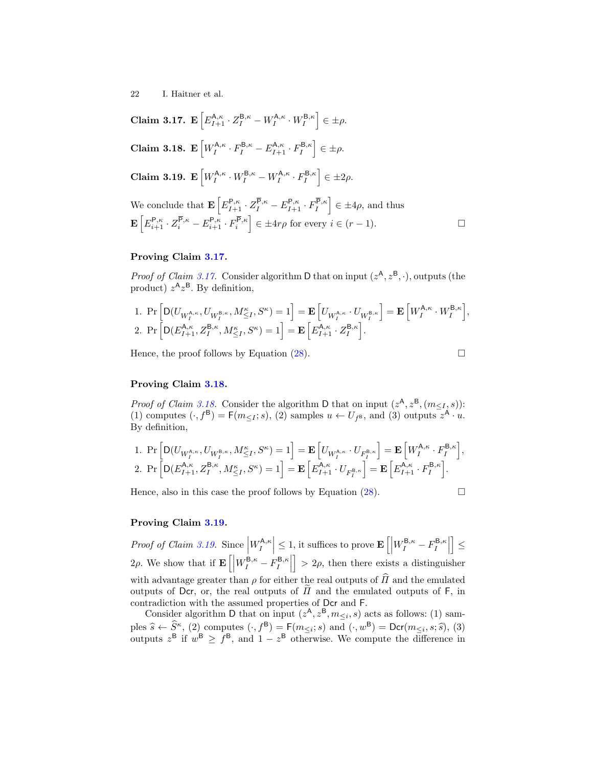<span id="page-21-1"></span><span id="page-21-0"></span>**Claim 3.17.** 
$$
\mathbf{E}\left[E_{I+1}^{\mathsf{A},\kappa} \cdot Z_{I}^{\mathsf{B},\kappa} - W_{I}^{\mathsf{A},\kappa} \cdot W_{I}^{\mathsf{B},\kappa}\right] \in \pm \rho.
$$
  
\n**Claim 3.18.** 
$$
\mathbf{E}\left[W_{I}^{\mathsf{A},\kappa} \cdot F_{I}^{\mathsf{B},\kappa} - E_{I+1}^{\mathsf{A},\kappa} \cdot F_{I}^{\mathsf{B},\kappa}\right] \in \pm \rho.
$$
  
\n**Claim 3.19.** 
$$
\mathbf{E}\left[W_{I}^{\mathsf{A},\kappa} \cdot W_{I}^{\mathsf{B},\kappa} - W_{I}^{\mathsf{A},\kappa} \cdot F_{I}^{\mathsf{B},\kappa}\right] \in \pm 2\rho.
$$
  
\nWe conclude that 
$$
\mathbf{E}\left[E_{I+1}^{\mathsf{P},\kappa} \cdot Z_{I}^{\overline{\mathsf{P}},\kappa} - E_{I+1}^{\mathsf{P},\kappa} \cdot F_{I}^{\overline{\mathsf{P}},\kappa}\right] \in \pm 4\rho
$$
, and thus 
$$
\mathbf{E}\left[E_{i+1}^{\mathsf{P},\kappa} \cdot Z_{i}^{\overline{\mathsf{P}},\kappa} - E_{i+1}^{\mathsf{P},\kappa} \cdot F_{i}^{\overline{\mathsf{P}},\kappa}\right] \in \pm 4r\rho \text{ for every } i \in (r-1).
$$

## Proving Claim [3.17.](#page-20-1)

*Proof of Claim [3.17.](#page-20-1)* Consider algorithm D that on input  $(z^A, z^B, \cdot)$ , outputs (the product)  $z^{\mathsf{A}}z^{\mathsf{B}}$ . By definition,

1. 
$$
\Pr\left[\mathsf{D}(U_{W_I^{\mathsf{A},\kappa}},U_{W_I^{\mathsf{B},\kappa}},M_{\leq I}^\kappa,S^\kappa)=1\right] = \mathbf{E}\left[U_{W_I^{\mathsf{A},\kappa}}\cdot U_{W_I^{\mathsf{B},\kappa}}\right] = \mathbf{E}\left[W_I^{\mathsf{A},\kappa}\cdot W_I^{\mathsf{B},\kappa}\right],
$$
  
2. 
$$
\Pr\left[\mathsf{D}(E_{I+1}^{\mathsf{A},\kappa},Z_I^{\mathsf{B},\kappa},M_{\leq I}^\kappa,S^\kappa)=1\right] = \mathbf{E}\left[E_{I+1}^{\mathsf{A},\kappa}\cdot Z_I^{\mathsf{B},\kappa}\right].
$$

Hence, the proof follows by Equation [\(28\)](#page-20-2).

$$
\Box
$$

## Proving Claim [3.18.](#page-21-0)

*Proof of Claim [3.18.](#page-21-0)* Consider the algorithm D that on input  $(z^{\mathsf{A}}, z^{\mathsf{B}}, (m_{\leq I}, s))$ : (1) computes  $(\cdot, f^B) = F(m_{\leq I}; s)$ , (2) samples  $u \leftarrow U_{f^B}$ , and (3) outputs  $z^A \cdot u$ . By definition,

1. 
$$
\Pr\left[\mathsf{D}(U_{W^{\mathsf{A},\kappa}_I},U_{W^{\mathsf{B},\kappa}_I},M^{\kappa}_{\leq I},S^{\kappa})=1\right] = \mathbf{E}\left[U_{W^{\mathsf{A},\kappa}_I}\cdot U_{F^{\mathsf{B},\kappa}_I}\right] = \mathbf{E}\left[W^{\mathsf{A},\kappa}_I\cdot F^{\mathsf{B},\kappa}_I\right],
$$
  
2. 
$$
\Pr\left[\mathsf{D}(E^{\mathsf{A},\kappa}_{I+1},Z^{\mathsf{B},\kappa}_I,M^{\kappa}_{\leq I},S^{\kappa})=1\right] = \mathbf{E}\left[E^{\mathsf{A},\kappa}_{I+1}\cdot U_{F^{\mathsf{B},\kappa}_I}\right] = \mathbf{E}\left[E^{\mathsf{A},\kappa}_{I+1}\cdot F^{\mathsf{B},\kappa}_I\right].
$$

Hence, also in this case the proof follows by Equation [\(28\)](#page-20-2).

$$
\qquad \qquad \Box
$$

## Proving Claim [3.19.](#page-21-1)

Proof of Claim [3.19.](#page-21-1) Since  $\left|W_I^{\mathsf{A},\kappa}\right| \leq 1$ , it suffices to prove  $\mathbf{E}\left[\left|W_I^{\mathsf{B},\kappa}-F_I^{\mathsf{B},\kappa}\right|\right]$  $\vert \leq$ 2ρ. We show that if  $\mathbf{E}\left[\left|W_I^{\mathsf{B},\kappa}-F_I^{\mathsf{B},\kappa}\right|\right]$  $\vert > 2\rho$ , then there exists a distinguisher with advantage greater than  $\rho$  for either the real outputs of  $\hat{H}$  and the emulated outputs of Dcr, or, the real outputs of  $\Pi$  and the emulated outputs of F, in contradiction with the assumed properties of Dcr and F.

Consider algorithm D that on input  $(z^{\mathsf{A}}, z^{\mathsf{B}}, m_{\leq i}, s)$  acts as follows: (1) samples  $\hat{s} \leftarrow \hat{S}^{\kappa}$ , (2) computes  $(\cdot, f^{\mathsf{B}}) = \mathsf{F}(m_{\leq i}; s)$  and  $(\cdot, w^{\mathsf{B}}) = \mathsf{Der}(m_{\leq i}, s; \hat{s})$ , (3) outputs  $z^{\mathsf{B}}$  if  $w^{\mathsf{B}} \geq f^{\mathsf{B}}$ , and  $1 - z^{\mathsf{B}}$  otherwise. We compute the difference in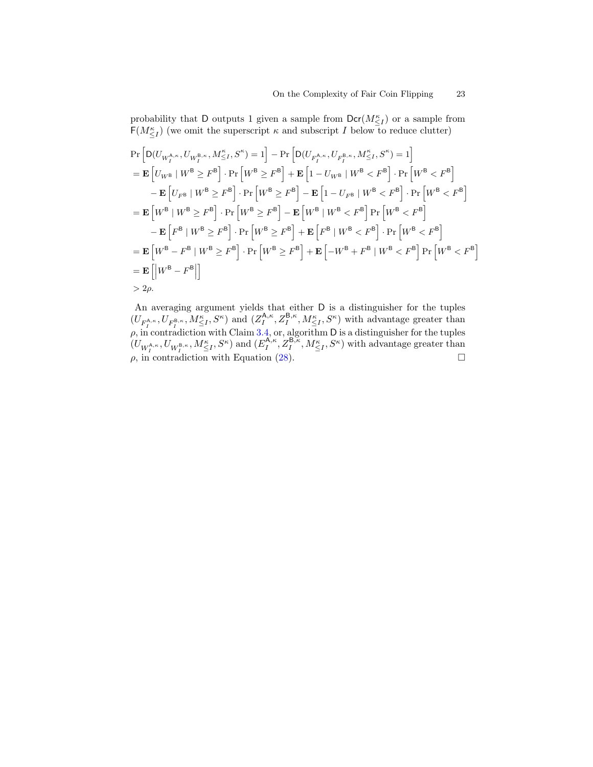probability that D outputs 1 given a sample from  $\text{Der}(M_{\leq I}^{\kappa})$  or a sample from  $\mathsf{F}(M_{\leq I}^{\kappa})$  (we omit the superscript  $\kappa$  and subscript I below to reduce clutter)

$$
\Pr\left[\mathbf{D}(U_{W_{I}^{\mathsf{A},\kappa}},U_{W_{I}^{\mathsf{B},\kappa}},M_{\leq I}^{\kappa},S^{\kappa})=1\right]-\Pr\left[\mathbf{D}(U_{F_{I}^{\mathsf{A},\kappa}},U_{F_{I}^{\mathsf{B},\kappa}},M_{\leq I}^{\kappa},S^{\kappa})=1\right]
$$
\n
$$
=\mathbf{E}\left[U_{W^{\mathsf{B}}}\mid W^{\mathsf{B}}\geq F^{\mathsf{B}}\right]\cdot\Pr\left[W^{\mathsf{B}}\geq F^{\mathsf{B}}\right]+\mathbf{E}\left[1-U_{W^{\mathsf{B}}}\mid W^{\mathsf{B}}< F^{\mathsf{B}}\right]\cdot\Pr\left[W^{\mathsf{B}}< F^{\mathsf{B}}\right]
$$
\n
$$
-\mathbf{E}\left[U_{F^{\mathsf{B}}}\mid W^{\mathsf{B}}\geq F^{\mathsf{B}}\right]\cdot\Pr\left[W^{\mathsf{B}}\geq F^{\mathsf{B}}\right]-\mathbf{E}\left[1-U_{F^{\mathsf{B}}}\mid W^{\mathsf{B}}< F^{\mathsf{B}}\right]\cdot\Pr\left[W^{\mathsf{B}}< F^{\mathsf{B}}\right]
$$
\n
$$
=\mathbf{E}\left[W^{\mathsf{B}}\mid W^{\mathsf{B}}\geq F^{\mathsf{B}}\right]\cdot\Pr\left[W^{\mathsf{B}}\geq F^{\mathsf{B}}\right]-\mathbf{E}\left[W^{\mathsf{B}}\mid W^{\mathsf{B}}< F^{\mathsf{B}}\right]\Pr\left[W^{\mathsf{B}}< F^{\mathsf{B}}\right]
$$
\n
$$
-\mathbf{E}\left[F^{\mathsf{B}}\mid W^{\mathsf{B}}\geq F^{\mathsf{B}}\right]\cdot\Pr\left[W^{\mathsf{B}}\geq F^{\mathsf{B}}\right]+\mathbf{E}\left[F^{\mathsf{B}}\mid W^{\mathsf{B}}< F^{\mathsf{B}}\right]\cdot\Pr\left[W^{\mathsf{B}}< F^{\mathsf{B}}\right]
$$
\n
$$
=\mathbf{E}\left[W^{\mathsf{B}}-F^{\mathsf{B}}\mid W^{\mathsf{B}}\geq F^{\mathsf{B}}\right]\cdot\Pr\left[W^{\mathsf{B}}
$$

An averaging argument yields that either D is a distinguisher for the tuples  $(U_{F_I^{A,\kappa}}, U_{F_I^{B,\kappa}}, M_{\leq I}^{\kappa}, S^{\kappa})$  and  $(Z_I^{A,\kappa}, Z_I^{B,\kappa}, M_{\leq I}^{\kappa}, S^{\kappa})$  with advantage greater than  $\rho$ , in contradiction with Claim [3.4,](#page-11-1) or, algorithm D is a distinguisher for the tuples  $(U_{W_I^{\mathsf{A},\kappa}},U_{W_I^{\mathsf{B},\kappa}},M_{\leq I}^{\kappa},S^{\kappa})$  and  $(E_I^{\mathsf{A},\kappa},Z_I^{\mathsf{B},\kappa},M_{\leq I}^{\kappa},S^{\kappa})$  with advantage greater than  $\rho$ , in contradiction with Equation [\(28\)](#page-20-2).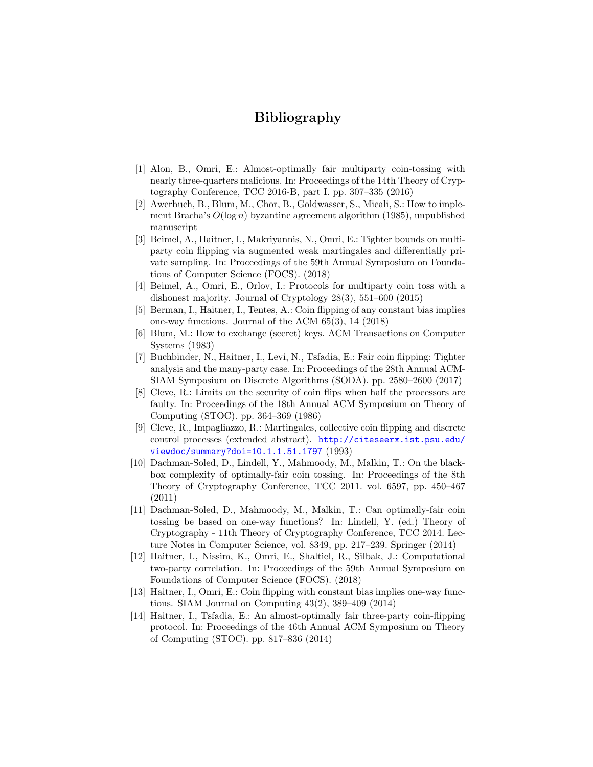## Bibliography

- <span id="page-23-13"></span>[1] Alon, B., Omri, E.: Almost-optimally fair multiparty coin-tossing with nearly three-quarters malicious. In: Proceedings of the 14th Theory of Cryptography Conference, TCC 2016-B, part I. pp. 307–335 (2016)
- <span id="page-23-1"></span>[2] Awerbuch, B., Blum, M., Chor, B., Goldwasser, S., Micali, S.: How to implement Bracha's  $O(\log n)$  byzantine agreement algorithm (1985), unpublished manuscript
- <span id="page-23-5"></span>[3] Beimel, A., Haitner, I., Makriyannis, N., Omri, E.: Tighter bounds on multiparty coin flipping via augmented weak martingales and differentially private sampling. In: Proceedings of the 59th Annual Symposium on Foundations of Computer Science (FOCS). (2018)
- <span id="page-23-12"></span>[4] Beimel, A., Omri, E., Orlov, I.: Protocols for multiparty coin toss with a dishonest majority. Journal of Cryptology 28(3), 551–600 (2015)
- <span id="page-23-9"></span>[5] Berman, I., Haitner, I., Tentes, A.: Coin flipping of any constant bias implies one-way functions. Journal of the ACM 65(3), 14 (2018)
- <span id="page-23-6"></span>[6] Blum, M.: How to exchange (secret) keys. ACM Transactions on Computer Systems (1983)
- <span id="page-23-11"></span>[7] Buchbinder, N., Haitner, I., Levi, N., Tsfadia, E.: Fair coin flipping: Tighter analysis and the many-party case. In: Proceedings of the 28th Annual ACM-SIAM Symposium on Discrete Algorithms (SODA). pp. 2580–2600 (2017)
- <span id="page-23-0"></span>[8] Cleve, R.: Limits on the security of coin flips when half the processors are faulty. In: Proceedings of the 18th Annual ACM Symposium on Theory of Computing (STOC). pp. 364–369 (1986)
- <span id="page-23-7"></span>[9] Cleve, R., Impagliazzo, R.: Martingales, collective coin flipping and discrete control processes (extended abstract). [http://citeseerx.ist.psu.edu/](http://citeseerx.ist.psu.edu/viewdoc/summary?doi=10.1.1.51.1797) [viewdoc/summary?doi=10.1.1.51.1797](http://citeseerx.ist.psu.edu/viewdoc/summary?doi=10.1.1.51.1797) (1993)
- <span id="page-23-2"></span>[10] Dachman-Soled, D., Lindell, Y., Mahmoody, M., Malkin, T.: On the blackbox complexity of optimally-fair coin tossing. In: Proceedings of the 8th Theory of Cryptography Conference, TCC 2011. vol. 6597, pp. 450–467 (2011)
- <span id="page-23-3"></span>[11] Dachman-Soled, D., Mahmoody, M., Malkin, T.: Can optimally-fair coin tossing be based on one-way functions? In: Lindell, Y. (ed.) Theory of Cryptography - 11th Theory of Cryptography Conference, TCC 2014. Lecture Notes in Computer Science, vol. 8349, pp. 217–239. Springer (2014)
- <span id="page-23-4"></span>[12] Haitner, I., Nissim, K., Omri, E., Shaltiel, R., Silbak, J.: Computational two-party correlation. In: Proceedings of the 59th Annual Symposium on Foundations of Computer Science (FOCS). (2018)
- <span id="page-23-8"></span>[13] Haitner, I., Omri, E.: Coin flipping with constant bias implies one-way functions. SIAM Journal on Computing 43(2), 389–409 (2014)
- <span id="page-23-10"></span>[14] Haitner, I., Tsfadia, E.: An almost-optimally fair three-party coin-flipping protocol. In: Proceedings of the 46th Annual ACM Symposium on Theory of Computing (STOC). pp. 817–836 (2014)